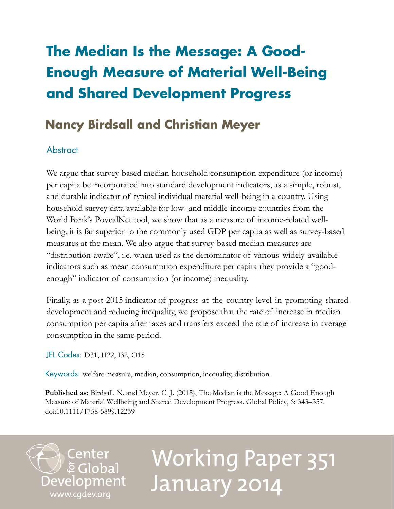# **The Median Is the Message: A Good-Enough Measure of Material Well-Being and Shared Development Progress**

# **Nancy Birdsall and Christian Meyer**

# **Abstract**

We argue that survey-based median household consumption expenditure (or income) per capita be incorporated into standard development indicators, as a simple, robust, and durable indicator of typical individual material well-being in a country. Using household survey data available for low- and middle-income countries from the World Bank's PovcalNet tool, we show that as a measure of income-related wellbeing, it is far superior to the commonly used GDP per capita as well as survey-based measures at the mean. We also argue that survey-based median measures are "distribution-aware", i.e. when used as the denominator of various widely available indicators such as mean consumption expenditure per capita they provide a "goodenough" indicator of consumption (or income) inequality.

Finally, as a post-2015 indicator of progress at the country-level in promoting shared development and reducing inequality, we propose that the rate of increase in median consumption per capita after taxes and transfers exceed the rate of increase in average consumption in the same period.

JEL Codes: D31, H22, I32, O15

Keywords: welfare measure, median, consumption, inequality, distribution.

**Published as:** Birdsall, N. and Meyer, C. J. (2015), The Median is the Message: A Good Enough Measure of Material Wellbeing and Shared Development Progress. Global Policy, 6: 343–357. doi:10.1111/1758-5899.12239

Center<br>Development<br>[www.cgdev.org](http://www.cgdev.org)

# Working Paper 351 January 2014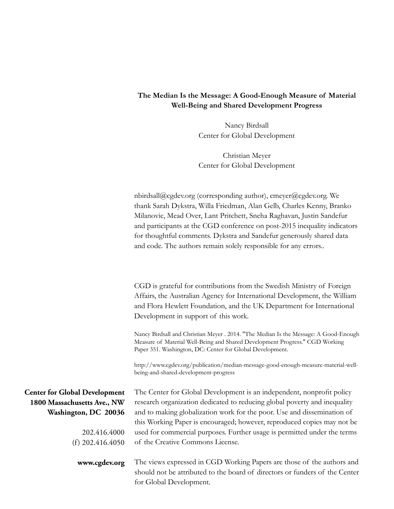# **The Median Is the Message: A Good-Enough Measure of Material Well-Being and Shared Development Progress**

Nancy Birdsall Center for Global Development

Christian Meyer Center for Global Development

nbirdsall@cgdev.org (corresponding author), cmeyer@cgdev.org. We thank Sarah Dykstra, Willa Friedman, Alan Gelb, Charles Kenny, Branko Milanovic, Mead Over, Lant Pritchett, Sneha Raghavan, Justin Sandefur and participants at the CGD conference on post-2015 inequality indicators for thoughtful comments. Dykstra and Sandefur generously shared data and code. The authors remain solely responsible for any errors..

CGD is grateful for contributions from the Swedish Ministry of Foreign Affairs, the Australian Agency for International Development, the William and Flora Hewlett Foundation, and the UK Department for International Development in support of this work.

Nancy Birdsall and Christian Meyer . 2014. "The Median Is the Message: A Good-Enough Measure of Material Well-Being and Shared Development Progress." CGD Working Paper 351. Washington, DC: Center for Global Development.

http://www.cgdev.org/publication/median-message-good-enough-measure-material-wellbeing-and-shared-development-progress

**Center for Global Development 1800 Massachusetts Ave., NW Washington, DC 20036**

> 202.416.4000 (f) 202.416.4050

**www.cgdev.org**

The Center for Global Development is an independent, nonprofit policy research organization dedicated to reducing global poverty and inequality and to making globalization work for the poor. Use and dissemination of this Working Paper is encouraged; however, reproduced copies may not be used for commercial purposes. Further usage is permitted under the terms of the Creative Commons License.

The views expressed in CGD Working Papers are those of the authors and should not be attributed to the board of directors or funders of the Center for Global Development.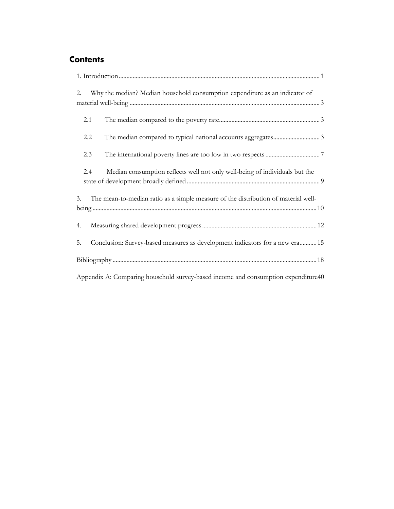# **Contents**

| Why the median? Median household consumption expenditure as an indicator of<br>2.        |
|------------------------------------------------------------------------------------------|
| 2.1                                                                                      |
| 2.2                                                                                      |
| 2.3                                                                                      |
| Median consumption reflects well not only well-being of individuals but the<br>2.4       |
| The mean-to-median ratio as a simple measure of the distribution of material well-<br>3. |
| 4.                                                                                       |
| Conclusion: Survey-based measures as development indicators for a new era 15<br>5.       |
|                                                                                          |
| Appendix A: Comparing household survey-based income and consumption expenditure 40       |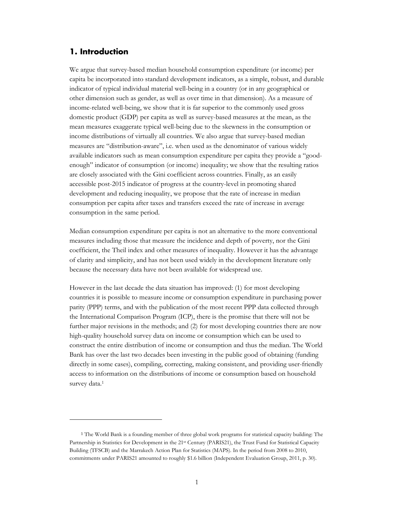# **1. Introduction**

<u>.</u>

We argue that survey-based median household consumption expenditure (or income) per capita be incorporated into standard development indicators, as a simple, robust, and durable indicator of typical individual material well-being in a country (or in any geographical or other dimension such as gender, as well as over time in that dimension). As a measure of income-related well-being, we show that it is far superior to the commonly used gross domestic product (GDP) per capita as well as survey-based measures at the mean, as the mean measures exaggerate typical well-being due to the skewness in the consumption or income distributions of virtually all countries. We also argue that survey-based median measures are "distribution-aware", i.e. when used as the denominator of various widely available indicators such as mean consumption expenditure per capita they provide a "goodenough" indicator of consumption (or income) inequality; we show that the resulting ratios are closely associated with the Gini coefficient across countries. Finally, as an easily accessible post-2015 indicator of progress at the country-level in promoting shared development and reducing inequality, we propose that the rate of increase in median consumption per capita after taxes and transfers exceed the rate of increase in average consumption in the same period.

Median consumption expenditure per capita is not an alternative to the more conventional measures including those that measure the incidence and depth of poverty, nor the Gini coefficient, the Theil index and other measures of inequality. However it has the advantage of clarity and simplicity, and has not been used widely in the development literature only because the necessary data have not been available for widespread use.

However in the last decade the data situation has improved: (1) for most developing countries it is possible to measure income or consumption expenditure in purchasing power parity (PPP) terms, and with the publication of the most recent PPP data collected through the International Comparison Program (ICP), there is the promise that there will not be further major revisions in the methods; and (2) for most developing countries there are now high-quality household survey data on income or consumption which can be used to construct the entire distribution of income or consumption and thus the median. The World Bank has over the last two decades been investing in the public good of obtaining (funding directly in some cases), compiling, correcting, making consistent, and providing user-friendly access to information on the distributions of income or consumption based on household survey data.<sup>1</sup>

<sup>1</sup> The World Bank is a founding member of three global work programs for statistical capacity building: The Partnership in Statistics for Development in the 21<sup>st</sup> Century (PARIS21), the Trust Fund for Statistical Capacity Building (TFSCB) and the Marrakech Action Plan for Statistics (MAPS). In the period from 2008 to 2010, commitments under PARIS21 amounted to roughly \$1.6 billion (Independent Evaluation Group, 2011, p. 30).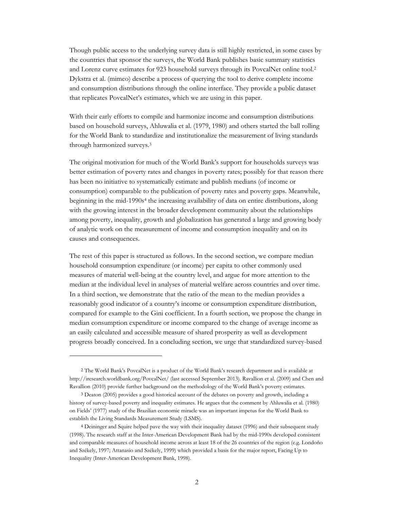Though public access to the underlying survey data is still highly restricted, in some cases by the countries that sponsor the surveys, the World Bank publishes basic summary statistics and Lorenz curve estimates for 923 household surveys through its PovcalNet online tool.2 Dykstra et al. (mimeo) describe a process of querying the tool to derive complete income and consumption distributions through the online interface. They provide a public dataset that replicates PovcalNet's estimates, which we are using in this paper.

With their early efforts to compile and harmonize income and consumption distributions based on household surveys, Ahluwalia et al. (1979, 1980) and others started the ball rolling for the World Bank to standardize and institutionalize the measurement of living standards through harmonized surveys.3

The original motivation for much of the World Bank's support for households surveys was better estimation of poverty rates and changes in poverty rates; possibly for that reason there has been no initiative to systematically estimate and publish medians (of income or consumption) comparable to the publication of poverty rates and poverty gaps. Meanwhile, beginning in the mid-1990s<sup>4</sup> the increasing availability of data on entire distributions, along with the growing interest in the broader development community about the relationships among poverty, inequality, growth and globalization has generated a large and growing body of analytic work on the measurement of income and consumption inequality and on its causes and consequences.

The rest of this paper is structured as follows. In the second section, we compare median household consumption expenditure (or income) per capita to other commonly used measures of material well-being at the country level, and argue for more attention to the median at the individual level in analyses of material welfare across countries and over time. In a third section, we demonstrate that the ratio of the mean to the median provides a reasonably good indicator of a country's income or consumption expenditure distribution, compared for example to the Gini coefficient. In a fourth section, we propose the change in median consumption expenditure or income compared to the change of average income as an easily calculated and accessible measure of shared prosperity as well as development progress broadly conceived. In a concluding section, we urge that standardized survey-based

 $\overline{a}$ 

<sup>2</sup> The World Bank's PovcalNet is a product of the World Bank's research department and is available at http://iresearch.worldbank.org/PovcalNet/ (last accessed September 2013). Ravallion et al. (2009) and Chen and Ravallion (2010) provide further background on the methodology of the World Bank's poverty estimates.

<sup>3</sup> Deaton (2005) provides a good historical account of the debates on poverty and growth, including a history of survey-based poverty and inequality estimates. He argues that the comment by Ahluwalia et al. (1980) on Fields' (1977) study of the Brazilian economic miracle was an important impetus for the World Bank to establish the Living Standards Measurement Study (LSMS).

<sup>4</sup> Deininger and Squire helped pave the way with their inequality dataset (1996) and their subsequent study (1998). The research staff at the Inter-American Development Bank had by the mid-1990s developed consistent and comparable measures of household income across at least 18 of the 26 countries of the region (e.g. Londoño and Székely, 1997; Attanasio and Székely, 1999) which provided a basis for the major report, Facing Up to Inequality (Inter-American Development Bank, 1998).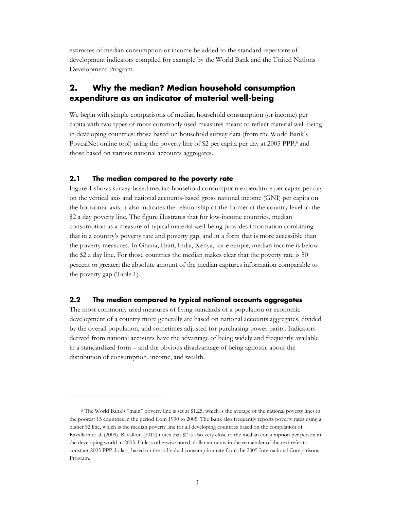estimates of median consumption or income be added to the standard repertoire of development indicators compiled for example by the World Bank and the United Nations Development Program.

# **2. Why the median? Median household consumption expenditure as an indicator of material well-being**

We begin with simple comparisons of median household consumption (or income) per capita with two types of more commonly used measures meant to reflect material well-being in developing countries: those based on household survey data (from the World Bank's PovcalNet online tool) using the poverty line of \$2 per capita per day at 2005 PPP;<sup>5</sup> and those based on various national accounts aggregates.

#### **2.1 The median compared to the poverty rate**

 $\overline{a}$ 

Figure 1 shows survey-based median household consumption expenditure per capita per day on the vertical axis and national accounts-based gross national income (GNI) per capita on the horizontal axis; it also indicates the relationship of the former at the country level to the \$2 a day poverty line. The figure illustrates that for low-income countries, median consumption as a measure of typical material well-being provides information combining that in a country's poverty rate and poverty gap, and in a form that is more accessible than the poverty measures. In Ghana, Haiti, India, Kenya, for example, median income is below the \$2 a day line. For those countries the median makes clear that the poverty rate is 50 percent or greater; the absolute amount of the median captures information comparable to the poverty gap (Table 1).

#### **2.2 The median compared to typical national accounts aggregates**

The most commonly used measures of living standards of a population or economic development of a country more generally are based on national accounts aggregates, divided by the overall population, and sometimes adjusted for purchasing power parity. Indicators derived from national accounts have the advantage of being widely and frequently available in a standardized form – and the obvious disadvantage of being agnostic about the distribution of consumption, income, and wealth.

<sup>5</sup> The World Bank's "main" poverty line is set at \$1.25, which is the average of the national poverty lines in the poorest 15 countries in the period from 1990 to 2005. The Bank also frequently reports poverty rates using a higher \$2 line, which is the median poverty line for all developing countries based on the compilation of Ravallion et al. (2009). Ravallion (2012) notes that \$2 is also very close to the median consumption per person in the developing world in 2005. Unless otherwise noted, dollar amounts in the remainder of the text refer to constant 2005 PPP dollars, based on the individual consumption rate from the 2005 International Comparisons Program.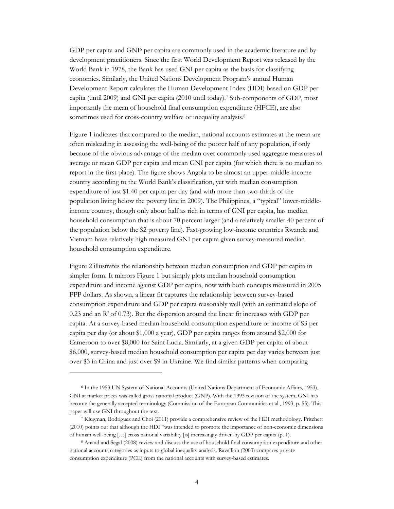GDP per capita and GNI<sup>6</sup> per capita are commonly used in the academic literature and by development practitioners. Since the first World Development Report was released by the World Bank in 1978, the Bank has used GNI per capita as the basis for classifying economies. Similarly, the United Nations Development Program's annual Human Development Report calculates the Human Development Index (HDI) based on GDP per capita (until 2009) and GNI per capita (2010 until today).7 Sub-components of GDP, most importantly the mean of household final consumption expenditure (HFCE), are also sometimes used for cross-country welfare or inequality analysis.<sup>8</sup>

Figure 1 indicates that compared to the median, national accounts estimates at the mean are often misleading in assessing the well-being of the poorer half of any population, if only because of the obvious advantage of the median over commonly used aggregate measures of average or mean GDP per capita and mean GNI per capita (for which there is no median to report in the first place). The figure shows Angola to be almost an upper-middle-income country according to the World Bank's classification, yet with median consumption expenditure of just \$1.40 per capita per day (and with more than two-thirds of the population living below the poverty line in 2009). The Philippines, a "typical" lower-middleincome country, though only about half as rich in terms of GNI per capita, has median household consumption that is about 70 percent larger (and a relatively smaller 40 percent of the population below the \$2 poverty line). Fast-growing low-income countries Rwanda and Vietnam have relatively high measured GNI per capita given survey-measured median household consumption expenditure.

Figure 2 illustrates the relationship between median consumption and GDP per capita in simpler form. It mirrors Figure 1 but simply plots median household consumption expenditure and income against GDP per capita, now with both concepts measured in 2005 PPP dollars. As shown, a linear fit captures the relationship between survey-based consumption expenditure and GDP per capita reasonably well (with an estimated slope of  $0.23$  and an  $\mathbb{R}^2$  of 0.73). But the dispersion around the linear fit increases with GDP per capita. At a survey-based median household consumption expenditure or income of \$3 per capita per day (or about \$1,000 a year), GDP per capita ranges from around \$2,000 for Cameroon to over \$8,000 for Saint Lucia. Similarly, at a given GDP per capita of about \$6,000, survey-based median household consumption per capita per day varies between just over \$3 in China and just over \$9 in Ukraine. We find similar patterns when comparing

<u>.</u>

<sup>6</sup> In the 1953 UN System of National Accounts (United Nations Department of Economic Affairs, 1953), GNI at market prices was called gross national product (GNP). With the 1993 revision of the system, GNI has become the generally accepted terminology (Commission of the European Communities et al., 1993, p. 55). This paper will use GNI throughout the text.

<sup>7</sup> Klugman, Rodriguez and Choi (2011) provide a comprehensive review of the HDI methodology. Pritchett (2010) points out that although the HDI "was intended to promote the importance of non-economic dimensions of human well-being […] cross national variability [is] increasingly driven by GDP per capita (p. 1).

<sup>8</sup> Anand and Segal (2008) review and discuss the use of household final consumption expenditure and other national accounts categories as inputs to global inequality analysis. Ravallion (2003) compares private consumption expenditure (PCE) from the national accounts with survey-based estimates.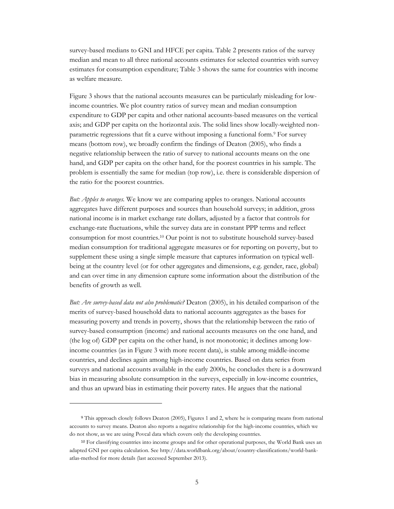survey-based medians to GNI and HFCE per capita. Table 2 presents ratios of the survey median and mean to all three national accounts estimates for selected countries with survey estimates for consumption expenditure; Table 3 shows the same for countries with income as welfare measure.

Figure 3 shows that the national accounts measures can be particularly misleading for lowincome countries. We plot country ratios of survey mean and median consumption expenditure to GDP per capita and other national accounts-based measures on the vertical axis; and GDP per capita on the horizontal axis. The solid lines show locally-weighted nonparametric regressions that fit a curve without imposing a functional form.9 For survey means (bottom row), we broadly confirm the findings of Deaton (2005), who finds a negative relationship between the ratio of survey to national accounts means on the one hand, and GDP per capita on the other hand, for the poorest countries in his sample. The problem is essentially the same for median (top row), i.e. there is considerable dispersion of the ratio for the poorest countries.

*But: Apples to oranges.* We know we are comparing apples to oranges. National accounts aggregates have different purposes and sources than household surveys; in addition, gross national income is in market exchange rate dollars, adjusted by a factor that controls for exchange-rate fluctuations, while the survey data are in constant PPP terms and reflect consumption for most countries.10 Our point is not to substitute household survey-based median consumption for traditional aggregate measures or for reporting on poverty, but to supplement these using a single simple measure that captures information on typical wellbeing at the country level (or for other aggregates and dimensions, e.g. gender, race, global) and can over time in any dimension capture some information about the distribution of the benefits of growth as well.

*But: Are survey-based data not also problematic?* Deaton (2005), in his detailed comparison of the merits of survey-based household data to national accounts aggregates as the bases for measuring poverty and trends in poverty, shows that the relationship between the ratio of survey-based consumption (income) and national accounts measures on the one hand, and (the log of) GDP per capita on the other hand, is not monotonic; it declines among lowincome countries (as in Figure 3 with more recent data), is stable among middle-income countries, and declines again among high-income countries. Based on data series from surveys and national accounts available in the early 2000s, he concludes there is a downward bias in measuring absolute consumption in the surveys, especially in low-income countries, and thus an upward bias in estimating their poverty rates. He argues that the national

-

<sup>9</sup> This approach closely follows Deaton (2005), Figures 1 and 2, where he is comparing means from national accounts to survey means. Deaton also reports a negative relationship for the high-income countries, which we do not show, as we are using Povcal data which covers only the developing countries.

<sup>10</sup> For classifying countries into income groups and for other operational purposes, the World Bank uses an adapted GNI per capita calculation. See http://data.worldbank.org/about/country-classifications/world-bankatlas-method for more details (last accessed September 2013).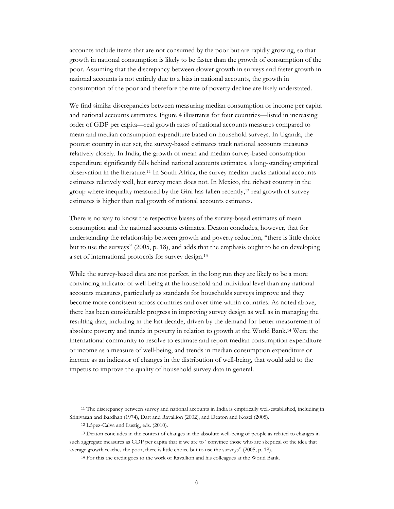accounts include items that are not consumed by the poor but are rapidly growing, so that growth in national consumption is likely to be faster than the growth of consumption of the poor. Assuming that the discrepancy between slower growth in surveys and faster growth in national accounts is not entirely due to a bias in national accounts, the growth in consumption of the poor and therefore the rate of poverty decline are likely understated.

We find similar discrepancies between measuring median consumption or income per capita and national accounts estimates. Figure 4 illustrates for four countries—listed in increasing order of GDP per capita—real growth rates of national accounts measures compared to mean and median consumption expenditure based on household surveys. In Uganda, the poorest country in our set, the survey-based estimates track national accounts measures relatively closely. In India, the growth of mean and median survey-based consumption expenditure significantly falls behind national accounts estimates, a long-standing empirical observation in the literature.11 In South Africa, the survey median tracks national accounts estimates relatively well, but survey mean does not. In Mexico, the richest country in the group where inequality measured by the Gini has fallen recently,<sup>12</sup> real growth of survey estimates is higher than real growth of national accounts estimates.

There is no way to know the respective biases of the survey-based estimates of mean consumption and the national accounts estimates. Deaton concludes, however, that for understanding the relationship between growth and poverty reduction, "there is little choice but to use the surveys" (2005, p. 18), and adds that the emphasis ought to be on developing a set of international protocols for survey design.13

While the survey-based data are not perfect, in the long run they are likely to be a more convincing indicator of well-being at the household and individual level than any national accounts measures, particularly as standards for households surveys improve and they become more consistent across countries and over time within countries. As noted above, there has been considerable progress in improving survey design as well as in managing the resulting data, including in the last decade, driven by the demand for better measurement of absolute poverty and trends in poverty in relation to growth at the World Bank.14 Were the international community to resolve to estimate and report median consumption expenditure or income as a measure of well-being, and trends in median consumption expenditure or income as an indicator of changes in the distribution of well-being, that would add to the impetus to improve the quality of household survey data in general.

 $\ddot{\phantom{a}}$ 

<sup>11</sup> The discrepancy between survey and national accounts in India is empirically well-established, including in Srinivasan and Bardhan (1974), Datt and Ravallion (2002), and Deaton and Kozel (2005).

<sup>12</sup> López-Calva and Lustig, eds. (2010).

<sup>&</sup>lt;sup>13</sup> Deaton concludes in the context of changes in the absolute well-being of people as related to changes in such aggregate measures as GDP per capita that if we are to "convince those who are skeptical of the idea that average growth reaches the poor, there is little choice but to use the surveys" (2005, p. 18).

<sup>14</sup> For this the credit goes to the work of Ravallion and his colleagues at the World Bank.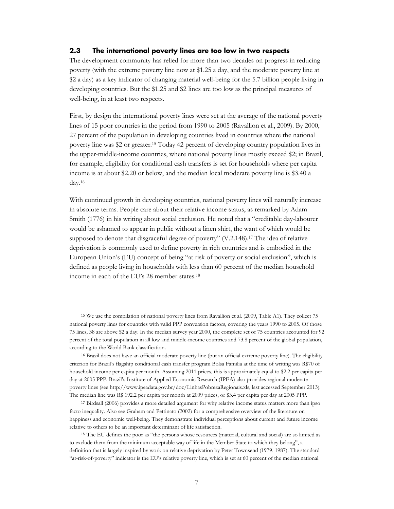#### **2.3 The international poverty lines are too low in two respects**

The development community has relied for more than two decades on progress in reducing poverty (with the extreme poverty line now at \$1.25 a day, and the moderate poverty line at \$2 a day) as a key indicator of changing material well-being for the 5.7 billion people living in developing countries. But the \$1.25 and \$2 lines are too low as the principal measures of well-being, in at least two respects.

First, by design the international poverty lines were set at the average of the national poverty lines of 15 poor countries in the period from 1990 to 2005 (Ravallion et al., 2009). By 2000, 27 percent of the population in developing countries lived in countries where the national poverty line was \$2 or greater.15 Today 42 percent of developing country population lives in the upper-middle-income countries, where national poverty lines mostly exceed \$2; in Brazil, for example, eligibility for conditional cash transfers is set for households where per capita income is at about \$2.20 or below, and the median local moderate poverty line is \$3.40 a day.16

With continued growth in developing countries, national poverty lines will naturally increase in absolute terms. People care about their relative income status, as remarked by Adam Smith (1776) in his writing about social exclusion. He noted that a "creditable day-labourer would be ashamed to appear in public without a linen shirt, the want of which would be supposed to denote that disgraceful degree of poverty" (V.2.148).17 The idea of relative deprivation is commonly used to define poverty in rich countries and is embodied in the European Union's (EU) concept of being "at risk of poverty or social exclusion", which is defined as people living in households with less than 60 percent of the median household income in each of the EU's 28 member states.18

 $\ddot{\phantom{a}}$ 

<sup>15</sup> We use the compilation of national poverty lines from Ravallion et al. (2009, Table A1). They collect 75 national poverty lines for countries with valid PPP conversion factors, covering the years 1990 to 2005. Of those 75 lines, 38 are above \$2 a day. In the median survey year 2000, the complete set of 75 countries accounted for 92 percent of the total population in all low and middle-income countries and 73.8 percent of the global population, according to the World Bank classification.

<sup>16</sup> Brazil does not have an official moderate poverty line (but an official extreme poverty line). The eligibility criterion for Brazil's flagship conditional cash transfer program Bolsa Familia at the time of writing was R\$70 of household income per capita per month. Assuming 2011 prices, this is approximately equal to \$2.2 per capita per day at 2005 PPP. Brazil's Institute of Applied Economic Research (IPEA) also provides regional moderate poverty lines (see http://www.ipeadata.gov.br/doc/LinhasPobrezaRegionais.xls, last accessed September 2013). The median line was R\$ 192.2 per capita per month at 2009 prices, or \$3.4 per capita per day at 2005 PPP.

<sup>17</sup> Birdsall (2006) provides a more detailed argument for why relative income status matters more than ipso facto inequality. Also see Graham and Pettinato (2002) for a comprehensive overview of the literature on happiness and economic well-being. They demonstrate individual perceptions about current and future income relative to others to be an important determinant of life satisfaction.

<sup>18</sup> The EU defines the poor as "the persons whose resources (material, cultural and social) are so limited as to exclude them from the minimum acceptable way of life in the Member State to which they belong", a definition that is largely inspired by work on relative deprivation by Peter Townsend (1979, 1987). The standard "at-risk-of-poverty" indicator is the EU's relative poverty line, which is set at 60 percent of the median national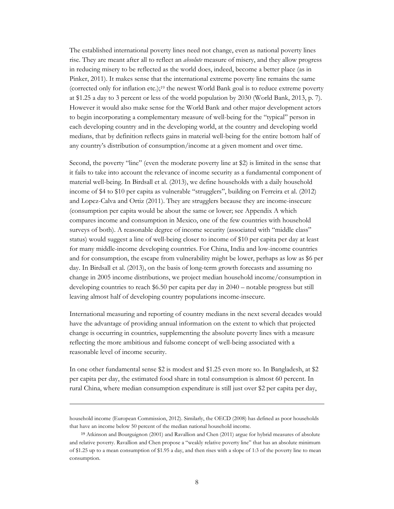The established international poverty lines need not change, even as national poverty lines rise. They are meant after all to reflect an *absolute* measure of misery, and they allow progress in reducing misery to be reflected as the world does, indeed, become a better place (as in Pinker, 2011). It makes sense that the international extreme poverty line remains the same (corrected only for inflation etc.);19 the newest World Bank goal is to reduce extreme poverty at \$1.25 a day to 3 percent or less of the world population by 2030 (World Bank, 2013, p. 7). However it would also make sense for the World Bank and other major development actors to begin incorporating a complementary measure of well-being for the "typical" person in each developing country and in the developing world, at the country and developing world medians, that by definition reflects gains in material well-being for the entire bottom half of any country's distribution of consumption/income at a given moment and over time.

Second, the poverty "line" (even the moderate poverty line at \$2) is limited in the sense that it fails to take into account the relevance of income security as a fundamental component of material well-being. In Birdsall et al. (2013), we define households with a daily household income of \$4 to \$10 per capita as vulnerable "strugglers", building on Ferreira et al. (2012) and Lopez-Calva and Ortiz (2011). They are strugglers because they are income-insecure (consumption per capita would be about the same or lower; see Appendix A which compares income and consumption in Mexico, one of the few countries with household surveys of both). A reasonable degree of income security (associated with "middle class" status) would suggest a line of well-being closer to income of \$10 per capita per day at least for many middle-income developing countries. For China, India and low-income countries and for consumption, the escape from vulnerability might be lower, perhaps as low as \$6 per day. In Birdsall et al. (2013), on the basis of long-term growth forecasts and assuming no change in 2005 income distributions, we project median household income/consumption in developing countries to reach \$6.50 per capita per day in 2040 – notable progress but still leaving almost half of developing country populations income-insecure.

International measuring and reporting of country medians in the next several decades would have the advantage of providing annual information on the extent to which that projected change is occurring in countries, supplementing the absolute poverty lines with a measure reflecting the more ambitious and fulsome concept of well-being associated with a reasonable level of income security.

In one other fundamental sense \$2 is modest and \$1.25 even more so. In Bangladesh, at \$2 per capita per day, the estimated food share in total consumption is almost 60 percent. In rural China, where median consumption expenditure is still just over \$2 per capita per day,

 $\overline{a}$ 

household income (European Commission, 2012). Similarly, the OECD (2008) has defined as poor households that have an income below 50 percent of the median national household income.

<sup>19</sup> Atkinson and Bourguignon (2001) and Ravallion and Chen (2011) argue for hybrid measures of absolute and relative poverty. Ravallion and Chen propose a "weakly relative poverty line" that has an absolute minimum of \$1.25 up to a mean consumption of \$1.95 a day, and then rises with a slope of 1:3 of the poverty line to mean consumption.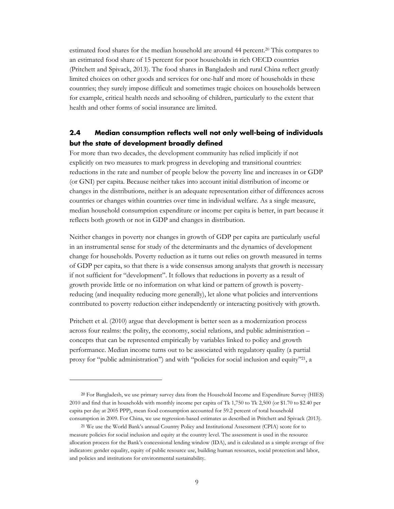estimated food shares for the median household are around 44 percent.20 This compares to an estimated food share of 15 percent for poor households in rich OECD countries (Pritchett and Spivack, 2013). The food shares in Bangladesh and rural China reflect greatly limited choices on other goods and services for one-half and more of households in these countries; they surely impose difficult and sometimes tragic choices on households between for example, critical health needs and schooling of children, particularly to the extent that health and other forms of social insurance are limited.

## **2.4 Median consumption reflects well not only well-being of individuals but the state of development broadly defined**

For more than two decades, the development community has relied implicitly if not explicitly on two measures to mark progress in developing and transitional countries: reductions in the rate and number of people below the poverty line and increases in or GDP (or GNI) per capita. Because neither takes into account initial distribution of income or changes in the distributions, neither is an adequate representation either of differences across countries or changes within countries over time in individual welfare. As a single measure, median household consumption expenditure or income per capita is better, in part because it reflects both growth or not in GDP and changes in distribution.

Neither changes in poverty nor changes in growth of GDP per capita are particularly useful in an instrumental sense for study of the determinants and the dynamics of development change for households. Poverty reduction as it turns out relies on growth measured in terms of GDP per capita, so that there is a wide consensus among analysts that growth is necessary if not sufficient for "development". It follows that reductions in poverty as a result of growth provide little or no information on what kind or pattern of growth is povertyreducing (and inequality reducing more generally), let alone what policies and interventions contributed to poverty reduction either independently or interacting positively with growth.

Pritchett et al. (2010) argue that development is better seen as a modernization process across four realms: the polity, the economy, social relations, and public administration – concepts that can be represented empirically by variables linked to policy and growth performance. Median income turns out to be associated with regulatory quality (a partial proxy for "public administration") and with "policies for social inclusion and equity"21, a

<u>.</u>

<sup>20</sup> For Bangladesh, we use primary survey data from the Household Income and Expenditure Survey (HIES) 2010 and find that in households with monthly income per capita of Tk 1,750 to Tk 2,500 (or \$1.70 to \$2.40 per capita per day at 2005 PPP), mean food consumption accounted for 59.2 percent of total household consumption in 2009. For China, we use regression-based estimates as described in Pritchett and Spivack (2013).

<sup>21</sup> We use the World Bank's annual Country Policy and Institutional Assessment (CPIA) score for to measure policies for social inclusion and equity at the country level. The assessment is used in the resource allocation process for the Bank's concessional lending window (IDA), and is calculated as a simple average of five indicators: gender equality, equity of public resource use, building human resources, social protection and labor, and policies and institutions for environmental sustainability.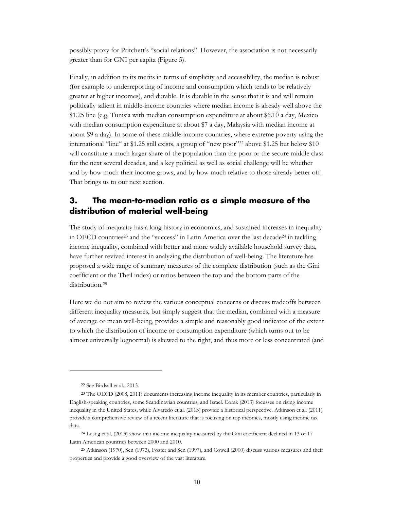possibly proxy for Pritchett's "social relations". However, the association is not necessarily greater than for GNI per capita (Figure 5).

Finally, in addition to its merits in terms of simplicity and accessibility, the median is robust (for example to underreporting of income and consumption which tends to be relatively greater at higher incomes), and durable. It is durable in the sense that it is and will remain politically salient in middle-income countries where median income is already well above the \$1.25 line (e.g. Tunisia with median consumption expenditure at about \$6.10 a day, Mexico with median consumption expenditure at about \$7 a day, Malaysia with median income at about \$9 a day). In some of these middle-income countries, where extreme poverty using the international "line" at \$1.25 still exists, a group of "new poor"<sup>22</sup> above \$1.25 but below \$10 will constitute a much larger share of the population than the poor or the secure middle class for the next several decades, and a key political as well as social challenge will be whether and by how much their income grows, and by how much relative to those already better off. That brings us to our next section.

# **3. The mean-to-median ratio as a simple measure of the distribution of material well-being**

The study of inequality has a long history in economics, and sustained increases in inequality in OECD countries<sup>23</sup> and the "success" in Latin America over the last decade<sup>24</sup> in tackling income inequality, combined with better and more widely available household survey data, have further revived interest in analyzing the distribution of well-being. The literature has proposed a wide range of summary measures of the complete distribution (such as the Gini coefficient or the Theil index) or ratios between the top and the bottom parts of the distribution.<sup>25</sup>

Here we do not aim to review the various conceptual concerns or discuss tradeoffs between different inequality measures, but simply suggest that the median, combined with a measure of average or mean well-being, provides a simple and reasonably good indicator of the extent to which the distribution of income or consumption expenditure (which turns out to be almost universally lognormal) is skewed to the right, and thus more or less concentrated (and

 $\overline{a}$ 

<sup>22</sup> See Birdsall et al., 2013.

<sup>23</sup> The OECD (2008, 2011) documents increasing income inequality in its member countries, particularly in English-speaking countries, some Scandinavian countries, and Israel. Corak (2013) focusses on rising income inequality in the United States, while Alvaredo et al. (2013) provide a historical perspective. Atkinson et al. (2011) provide a comprehensive review of a recent literature that is focusing on top incomes, mostly using income tax data.

<sup>24</sup> Lustig et al. (2013) show that income inequality measured by the Gini coefficient declined in 13 of 17 Latin American countries between 2000 and 2010.

<sup>25</sup> Atkinson (1970), Sen (1973), Foster and Sen (1997), and Cowell (2000) discuss various measures and their properties and provide a good overview of the vast literature.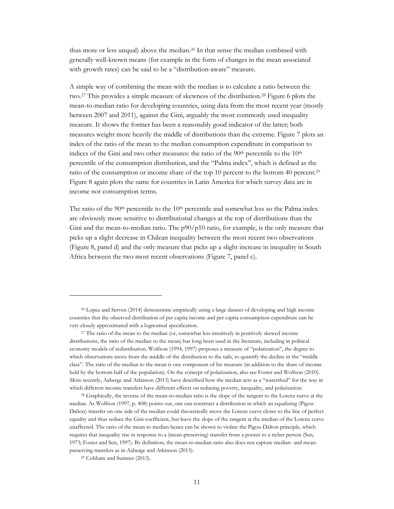thus more or less unqual) above the median.26 In that sense the median combined with generally well-known means (for example in the form of changes in the mean associated with growth rates) can be said to be a "distribution-aware" measure.

A simple way of combining the mean with the median is to calculate a ratio between the two.27 This provides a simple measure of skewness of the distribution.28 Figure 6 plots the mean-to-median ratio for developing countries, using data from the most recent year (mostly between 2007 and 2011), against the Gini, arguably the most commonly used inequality measure. It shows the former has been a reasonably good indicator of the latter; both measures weight more heavily the middle of distributions than the extreme. Figure 7 plots an index of the ratio of the mean to the median consumption expenditure in comparison to indices of the Gini and two other measures: the ratio of the  $90<sup>th</sup>$  percentile to the  $10<sup>th</sup>$ percentile of the consumption distribution, and the "Palma index", which is defined as the ratio of the consumption or income share of the top 10 percent to the bottom 40 percent.29 Figure 8 again plots the same for countries in Latin America for which survey data are in income not consumption terms.

The ratio of the 90<sup>th</sup> percentile to the 10<sup>th</sup> percentile and somewhat less so the Palma index are obviously more sensitive to distributional changes at the top of distributions than the Gini and the mean-to-median ratio. The  $p90/p10$  ratio, for example, is the only measure that picks up a slight decrease in Chilean inequality between the most recent two observations (Figure 8, panel d) and the only measure that picks up a slight increase in inequality in South Africa between the two most recent observations (Figure 7, panel c).

 $\overline{a}$ 

<sup>26</sup> Lopez and Serven (2014) demonstrate empirically using a large dataset of developing and high income countries that the observed distribution of per capita income and per capita consumption expenditure can be very closely approximated with a lognormal specification.

<sup>27</sup> The ratio of the mean to the median (or, somewhat less intuitively in positively skewed income distributions, the ratio of the median to the mean) has long been used in the literature, including in political economy models of redistribution. Wolfson (1994, 1997) proposes a measure of "polarization", the degree to which observations move from the middle of the distribution to the tails, to quantify the decline in the "middle class". The ratio of the median to the mean is one component of his measure (in addition to the share of income held by the bottom half of the population). On the concept of polarization, also see Foster and Wolfson (2010). More recently, Aaberge and Atkinson (2013) have described how the median acts as a "watershed" for the way in which different income transfers have different effects on reducing poverty, inequality, and polarization.

<sup>28</sup> Graphically, the inverse of the mean-to-median ratio is the slope of the tangent to the Lorenz curve at the median. As Wolfson (1997, p. 408) points out, one can construct a distribution in which an equalizing (Pigou-Dalton) transfer on one side of the median could theoretically move the Lorenz curve closer to the line of perfect equality and thus reduce the Gini coefficient, but leave the slope of the tangent at the median of the Lorenz curve unaffected. The ratio of the mean to median hence can be shown to violate the Pigou-Dalton principle, which requires that inequality rise in response to a (mean-preserving) transfer from a poorer to a richer person (Sen, 1973; Foster and Sen, 1997). By definition, the mean-to-median ratio also does not capture median- and meanpreserving transfers as in Aaberge and Atkinson (2013).

<sup>29</sup> Cobham and Sumner (2013).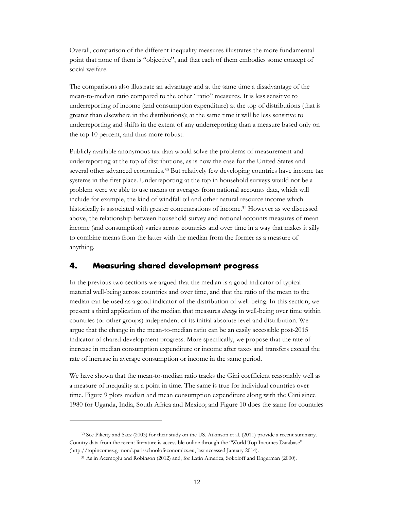Overall, comparison of the different inequality measures illustrates the more fundamental point that none of them is "objective", and that each of them embodies some concept of social welfare.

The comparisons also illustrate an advantage and at the same time a disadvantage of the mean-to-median ratio compared to the other "ratio" measures. It is less sensitive to underreporting of income (and consumption expenditure) at the top of distributions (that is greater than elsewhere in the distributions); at the same time it will be less sensitive to underreporting and shifts in the extent of any underreporting than a measure based only on the top 10 percent, and thus more robust.

Publicly available anonymous tax data would solve the problems of measurement and underreporting at the top of distributions, as is now the case for the United States and several other advanced economies.30 But relatively few developing countries have income tax systems in the first place. Underreporting at the top in household surveys would not be a problem were we able to use means or averages from national accounts data, which will include for example, the kind of windfall oil and other natural resource income which historically is associated with greater concentrations of income.31 However as we discussed above, the relationship between household survey and national accounts measures of mean income (and consumption) varies across countries and over time in a way that makes it silly to combine means from the latter with the median from the former as a measure of anything.

#### **4. Measuring shared development progress**

<u>.</u>

In the previous two sections we argued that the median is a good indicator of typical material well-being across countries and over time, and that the ratio of the mean to the median can be used as a good indicator of the distribution of well-being. In this section, we present a third application of the median that measures *change* in well-being over time within countries (or other groups) independent of its initial absolute level and distribution. We argue that the change in the mean-to-median ratio can be an easily accessible post-2015 indicator of shared development progress. More specifically, we propose that the rate of increase in median consumption expenditure or income after taxes and transfers exceed the rate of increase in average consumption or income in the same period.

We have shown that the mean-to-median ratio tracks the Gini coefficient reasonably well as a measure of inequality at a point in time. The same is true for individual countries over time. Figure 9 plots median and mean consumption expenditure along with the Gini since 1980 for Uganda, India, South Africa and Mexico; and Figure 10 does the same for countries

<sup>30</sup> See Piketty and Saez (2003) for their study on the US. Atkinson et al. (2011) provide a recent summary. Country data from the recent literature is accessible online through the "World Top Incomes Database" (http://topincomes.g-mond.parisschoolofeconomics.eu, last accessed January 2014).

<sup>31</sup> As in Acemoglu and Robinson (2012) and, for Latin America, Sokoloff and Engerman (2000).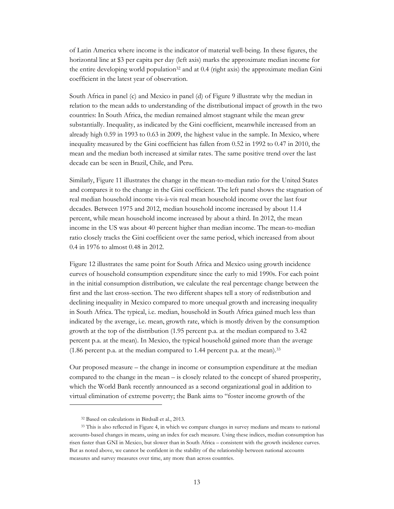of Latin America where income is the indicator of material well-being. In these figures, the horizontal line at \$3 per capita per day (left axis) marks the approximate median income for the entire developing world population32 and at 0.4 (right axis) the approximate median Gini coefficient in the latest year of observation.

South Africa in panel (c) and Mexico in panel (d) of Figure 9 illustrate why the median in relation to the mean adds to understanding of the distributional impact of growth in the two countries: In South Africa, the median remained almost stagnant while the mean grew substantially. Inequality, as indicated by the Gini coefficient, meanwhile increased from an already high 0.59 in 1993 to 0.63 in 2009, the highest value in the sample. In Mexico, where inequality measured by the Gini coefficient has fallen from 0.52 in 1992 to 0.47 in 2010, the mean and the median both increased at similar rates. The same positive trend over the last decade can be seen in Brazil, Chile, and Peru.

Similarly, Figure 11 illustrates the change in the mean-to-median ratio for the United States and compares it to the change in the Gini coefficient. The left panel shows the stagnation of real median household income vis-à-vis real mean household income over the last four decades. Between 1975 and 2012, median household income increased by about 11.4 percent, while mean household income increased by about a third. In 2012, the mean income in the US was about 40 percent higher than median income. The mean-to-median ratio closely tracks the Gini coefficient over the same period, which increased from about 0.4 in 1976 to almost 0.48 in 2012.

Figure 12 illustrates the same point for South Africa and Mexico using growth incidence curves of household consumption expenditure since the early to mid 1990s. For each point in the initial consumption distribution, we calculate the real percentage change between the first and the last cross-section. The two different shapes tell a story of redistribution and declining inequality in Mexico compared to more unequal growth and increasing inequality in South Africa. The typical, i.e. median, household in South Africa gained much less than indicated by the average, i.e. mean, growth rate, which is mostly driven by the consumption growth at the top of the distribution (1.95 percent p.a. at the median compared to 3.42 percent p.a. at the mean). In Mexico, the typical household gained more than the average (1.86 percent p.a. at the median compared to 1.44 percent p.a. at the mean).33

Our proposed measure – the change in income or consumption expenditure at the median compared to the change in the mean – is closely related to the concept of shared prosperity, which the World Bank recently announced as a second organizational goal in addition to virtual elimination of extreme poverty; the Bank aims to "foster income growth of the

 $\overline{a}$ 

<sup>32</sup> Based on calculations in Birdsall et al., 2013.

<sup>&</sup>lt;sup>33</sup> This is also reflected in Figure 4, in which we compare changes in survey medians and means to national accounts-based changes in means, using an index for each measure. Using these indices, median consumption has risen faster than GNI in Mexico, but slower than in South Africa – consistent with the growth incidence curves. But as noted above, we cannot be confident in the stability of the relationship between national accounts measures and survey measures over time, any more than across countries.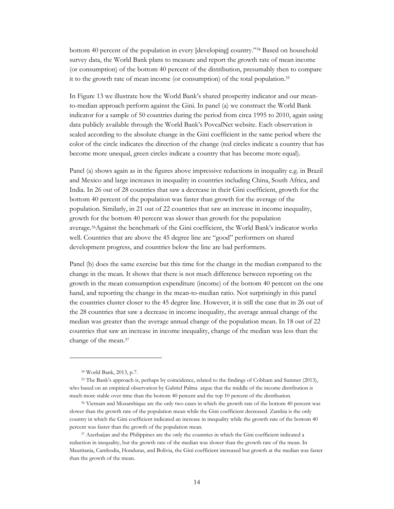bottom 40 percent of the population in every [developing] country."34 Based on household survey data, the World Bank plans to measure and report the growth rate of mean income (or consumption) of the bottom 40 percent of the distribution, presumably then to compare it to the growth rate of mean income (or consumption) of the total population.35

In Figure 13 we illustrate how the World Bank's shared prosperity indicator and our meanto-median approach perform against the Gini. In panel (a) we construct the World Bank indicator for a sample of 50 countries during the period from circa 1995 to 2010, again using data publicly available through the World Bank's PovcalNet website. Each observation is scaled according to the absolute change in the Gini coefficient in the same period where the color of the circle indicates the direction of the change (red circles indicate a country that has become more unequal, green circles indicate a country that has become more equal).

Panel (a) shows again as in the figures above impressive reductions in inequality e.g. in Brazil and Mexico and large increases in inequality in countries including China, South Africa, and India. In 26 out of 28 countries that saw a decrease in their Gini coefficient, growth for the bottom 40 percent of the population was faster than growth for the average of the population. Similarly, in 21 out of 22 countries that saw an increase in income inequality, growth for the bottom 40 percent was slower than growth for the population average.36Against the benchmark of the Gini coefficient, the World Bank's indicator works well. Countries that are above the 45 degree line are "good" performers on shared development progress, and countries below the line are bad performers.

Panel (b) does the same exercise but this time for the change in the median compared to the change in the mean. It shows that there is not much difference between reporting on the growth in the mean consumption expenditure (income) of the bottom 40 percent on the one hand, and reporting the change in the mean-to-median ratio. Not surprisingly in this panel the countries cluster closer to the 45 degree line. However, it is still the case that in 26 out of the 28 countries that saw a decrease in income inequality, the average annual change of the median was greater than the average annual change of the population mean. In 18 out of 22 countries that saw an increase in income inequality, change of the median was less than the change of the mean.37

<u>.</u>

<sup>34</sup> World Bank, 2013, p.7.

<sup>35</sup> The Bank's approach is, perhaps by coincidence, related to the findings of Cobham and Sumner (2013), who based on an empirical observation by Gabriel Palma argue that the middle of the income distribution is much more stable over time than the bottom 40 percent and the top 10 percent of the distribution.

<sup>36</sup> Vietnam and Mozambique are the only two cases in which the growth rate of the bottom 40 percent was slower than the growth rate of the population mean while the Gini coefficient decreased. Zambia is the only country in which the Gini coefficient indicated an increase in inequality while the growth rate of the bottom 40 percent was faster than the growth of the population mean.

<sup>37</sup> Azerbaijan and the Philippines are the only the countries in which the Gini coefficient indicated a reduction in inequality, but the growth rate of the median was slower than the growth rate of the mean. In Mauritania, Cambodia, Honduras, and Bolivia, the Gini coefficient increased but growth at the median was faster than the growth of the mean.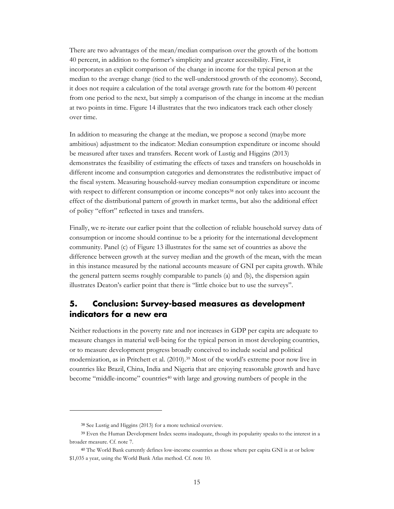There are two advantages of the mean/median comparison over the growth of the bottom 40 percent, in addition to the former's simplicity and greater accessibility. First, it incorporates an explicit comparison of the change in income for the typical person at the median to the average change (tied to the well-understood growth of the economy). Second, it does not require a calculation of the total average growth rate for the bottom 40 percent from one period to the next, but simply a comparison of the change in income at the median at two points in time. Figure 14 illustrates that the two indicators track each other closely over time.

In addition to measuring the change at the median, we propose a second (maybe more ambitious) adjustment to the indicator: Median consumption expenditure or income should be measured after taxes and transfers. Recent work of Lustig and Higgins (2013) demonstrates the feasibility of estimating the effects of taxes and transfers on households in different income and consumption categories and demonstrates the redistributive impact of the fiscal system. Measuring household-survey median consumption expenditure or income with respect to different consumption or income concepts<sup>38</sup> not only takes into account the effect of the distributional pattern of growth in market terms, but also the additional effect of policy "effort" reflected in taxes and transfers.

Finally, we re-iterate our earlier point that the collection of reliable household survey data of consumption or income should continue to be a priority for the international development community. Panel (c) of Figure 13 illustrates for the same set of countries as above the difference between growth at the survey median and the growth of the mean, with the mean in this instance measured by the national accounts measure of GNI per capita growth. While the general pattern seems roughly comparable to panels (a) and (b), the dispersion again illustrates Deaton's earlier point that there is "little choice but to use the surveys".

# **5. Conclusion: Survey-based measures as development indicators for a new era**

Neither reductions in the poverty rate and nor increases in GDP per capita are adequate to measure changes in material well-being for the typical person in most developing countries, or to measure development progress broadly conceived to include social and political modernization, as in Pritchett et al. (2010).39 Most of the world's extreme poor now live in countries like Brazil, China, India and Nigeria that are enjoying reasonable growth and have become "middle-income" countries<sup>40</sup> with large and growing numbers of people in the

<u>.</u>

<sup>38</sup> See Lustig and Higgins (2013) for a more technical overview.

<sup>39</sup> Even the Human Development Index seems inadequate, though its popularity speaks to the interest in a broader measure. Cf. note 7.

<sup>40</sup> The World Bank currently defines low-income countries as those where per capita GNI is at or below \$1,035 a year, using the World Bank Atlas method. Cf. note 10.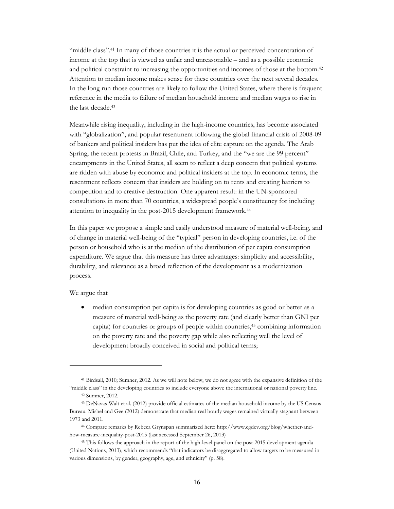"middle class".41 In many of those countries it is the actual or perceived concentration of income at the top that is viewed as unfair and unreasonable – and as a possible economic and political constraint to increasing the opportunities and incomes of those at the bottom.42 Attention to median income makes sense for these countries over the next several decades. In the long run those countries are likely to follow the United States, where there is frequent reference in the media to failure of median household income and median wages to rise in the last decade.43

Meanwhile rising inequality, including in the high-income countries, has become associated with "globalization", and popular resentment following the global financial crisis of 2008-09 of bankers and political insiders has put the idea of elite capture on the agenda. The Arab Spring, the recent protests in Brazil, Chile, and Turkey, and the "we are the 99 percent" encampments in the United States, all seem to reflect a deep concern that political systems are ridden with abuse by economic and political insiders at the top. In economic terms, the resentment reflects concern that insiders are holding on to rents and creating barriers to competition and to creative destruction. One apparent result: in the UN-sponsored consultations in more than 70 countries, a widespread people's constituency for including attention to inequality in the post-2015 development framework.44

In this paper we propose a simple and easily understood measure of material well-being, and of change in material well-being of the "typical" person in developing countries, i.e. of the person or household who is at the median of the distribution of per capita consumption expenditure. We argue that this measure has three advantages: simplicity and accessibility, durability, and relevance as a broad reflection of the development as a modernization process.

We argue that

 $\overline{a}$ 

 median consumption per capita is for developing countries as good or better as a measure of material well-being as the poverty rate (and clearly better than GNI per capita) for countries or groups of people within countries,45 combining information on the poverty rate and the poverty gap while also reflecting well the level of development broadly conceived in social and political terms;

<sup>41</sup> Birdsall, 2010; Sumner, 2012. As we will note below, we do not agree with the expansive definition of the "middle class" in the developing countries to include everyone above the international or national poverty line.

<sup>42</sup> Sumner, 2012.

<sup>43</sup> DeNavas-Walt et al. (2012) provide official estimates of the median household income by the US Census Bureau. Mishel and Gee (2012) demonstrate that median real hourly wages remained virtually stagnant between 1973 and 2011.

<sup>44</sup> Compare remarks by Rebeca Grynspan summarized here: http://www.cgdev.org/blog/whether-andhow-measure-inequality-post-2015 (last accessed September 26, 2013)

<sup>45</sup> This follows the approach in the report of the high-level panel on the post-2015 development agenda (United Nations, 2013), which recommends "that indicators be disaggregated to allow targets to be measured in various dimensions, by gender, geography, age, and ethnicity" (p. 58).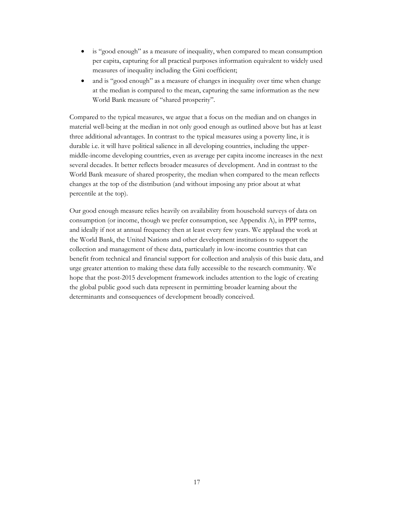- is "good enough" as a measure of inequality, when compared to mean consumption per capita, capturing for all practical purposes information equivalent to widely used measures of inequality including the Gini coefficient;
- and is "good enough" as a measure of changes in inequality over time when change at the median is compared to the mean, capturing the same information as the new World Bank measure of "shared prosperity".

Compared to the typical measures, we argue that a focus on the median and on changes in material well-being at the median in not only good enough as outlined above but has at least three additional advantages. In contrast to the typical measures using a poverty line, it is durable i.e. it will have political salience in all developing countries, including the uppermiddle-income developing countries, even as average per capita income increases in the next several decades. It better reflects broader measures of development. And in contrast to the World Bank measure of shared prosperity, the median when compared to the mean reflects changes at the top of the distribution (and without imposing any prior about at what percentile at the top).

Our good enough measure relies heavily on availability from household surveys of data on consumption (or income, though we prefer consumption, see Appendix A), in PPP terms, and ideally if not at annual frequency then at least every few years. We applaud the work at the World Bank, the United Nations and other development institutions to support the collection and management of these data, particularly in low-income countries that can benefit from technical and financial support for collection and analysis of this basic data, and urge greater attention to making these data fully accessible to the research community. We hope that the post-2015 development framework includes attention to the logic of creating the global public good such data represent in permitting broader learning about the determinants and consequences of development broadly conceived.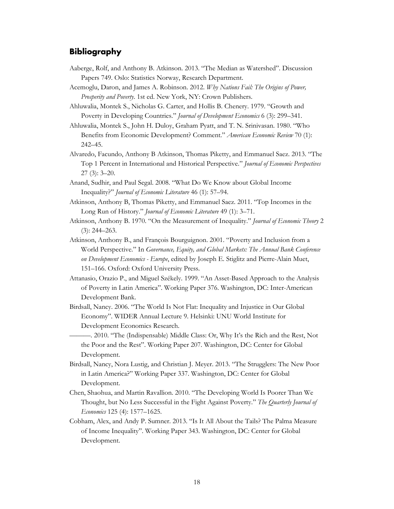## **Bibliography**

- Aaberge, Rolf, and Anthony B. Atkinson. 2013. "The Median as Watershed". Discussion Papers 749. Oslo: Statistics Norway, Research Department.
- Acemoglu, Daron, and James A. Robinson. 2012. *Why Nations Fail: The Origins of Power, Prosperity and Poverty*. 1st ed. New York, NY: Crown Publishers.
- Ahluwalia, Montek S., Nicholas G. Carter, and Hollis B. Chenery. 1979. "Growth and Poverty in Developing Countries." *Journal of Development Economics* 6 (3): 299–341.
- Ahluwalia, Montek S., John H. Duloy, Graham Pyatt, and T. N. Srinivasan. 1980. "Who Benefits from Economic Development? Comment." *American Economic Review* 70 (1): 242–45.
- Alvaredo, Facundo, Anthony B Atkinson, Thomas Piketty, and Emmanuel Saez. 2013. "The Top 1 Percent in International and Historical Perspective." *Journal of Economic Perspectives* 27 (3): 3–20.
- Anand, Sudhir, and Paul Segal. 2008. "What Do We Know about Global Income Inequality?" *Journal of Economic Literature* 46 (1): 57–94.
- Atkinson, Anthony B, Thomas Piketty, and Emmanuel Saez. 2011. "Top Incomes in the Long Run of History." *Journal of Economic Literature* 49 (1): 3–71.
- Atkinson, Anthony B. 1970. "On the Measurement of Inequality." *Journal of Economic Theory* 2 (3): 244–263.
- Atkinson, Anthony B., and François Bourguignon. 2001. "Poverty and Inclusion from a World Perspective." In *Governance, Equity, and Global Markets: The Annual Bank Conference on Development Economics - Europe*, edited by Joseph E. Stiglitz and Pierre-Alain Muet, 151–166. Oxford: Oxford University Press.
- Attanasio, Orazio P., and Miguel Székely. 1999. "An Asset-Based Approach to the Analysis of Poverty in Latin America". Working Paper 376. Washington, DC: Inter-American Development Bank.
- Birdsall, Nancy. 2006. "The World Is Not Flat: Inequality and Injustice in Our Global Economy". WIDER Annual Lecture 9. Helsinki: UNU World Institute for Development Economics Research.
	- ———. 2010. "The (Indispensable) Middle Class: Or, Why It's the Rich and the Rest, Not the Poor and the Rest". Working Paper 207. Washington, DC: Center for Global Development.
- Birdsall, Nancy, Nora Lustig, and Christian J. Meyer. 2013. "The Strugglers: The New Poor in Latin America?" Working Paper 337. Washington, DC: Center for Global Development.
- Chen, Shaohua, and Martin Ravallion. 2010. "The Developing World Is Poorer Than We Thought, but No Less Successful in the Fight Against Poverty." *The Quarterly Journal of Economics* 125 (4): 1577–1625.
- Cobham, Alex, and Andy P. Sumner. 2013. "Is It All About the Tails? The Palma Measure of Income Inequality". Working Paper 343. Washington, DC: Center for Global Development.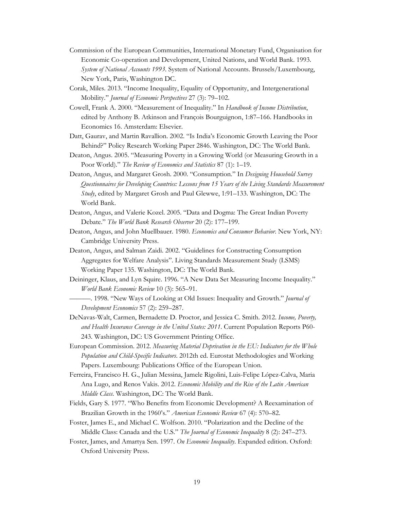- Commission of the European Communities, International Monetary Fund, Organisation for Economic Co-operation and Development, United Nations, and World Bank. 1993. *System of National Accounts 1993*. System of National Accounts. Brussels/Luxembourg, New York, Paris, Washington DC.
- Corak, Miles. 2013. "Income Inequality, Equality of Opportunity, and Intergenerational Mobility." *Journal of Economic Perspectives* 27 (3): 79–102.
- Cowell, Frank A. 2000. "Measurement of Inequality." In *Handbook of Income Distribution*, edited by Anthony B. Atkinson and François Bourguignon, 1:87–166. Handbooks in Economics 16. Amsterdam: Elsevier.
- Datt, Gaurav, and Martin Ravallion. 2002. "Is India's Economic Growth Leaving the Poor Behind?" Policy Research Working Paper 2846. Washington, DC: The World Bank.
- Deaton, Angus. 2005. "Measuring Poverty in a Growing World (or Measuring Growth in a Poor World)." *The Review of Economics and Statistics* 87 (1): 1–19.
- Deaton, Angus, and Margaret Grosh. 2000. "Consumption." In *Designing Household Survey Questionnaires for Developing Countries: Lessons from 15 Years of the Living Standards Measurement Study*, edited by Margaret Grosh and Paul Glewwe, 1:91–133. Washington, DC: The World Bank.
- Deaton, Angus, and Valerie Kozel. 2005. "Data and Dogma: The Great Indian Poverty Debate." *The World Bank Research Observer* 20 (2): 177–199.
- Deaton, Angus, and John Muellbauer. 1980. *Economics and Consumer Behavior*. New York, NY: Cambridge University Press.
- Deaton, Angus, and Salman Zaidi. 2002. "Guidelines for Constructing Consumption Aggregates for Welfare Analysis". Living Standards Measurement Study (LSMS) Working Paper 135. Washington, DC: The World Bank.
- Deininger, Klaus, and Lyn Squire. 1996. "A New Data Set Measuring Income Inequality." *World Bank Economic Review* 10 (3): 565–91.
- ———. 1998. "New Ways of Looking at Old Issues: Inequality and Growth." *Journal of Development Economics* 57 (2): 259–287.
- DeNavas-Walt, Carmen, Bernadette D. Proctor, and Jessica C. Smith. 2012. *Income, Poverty, and Health Insurance Coverage in the United States: 2011*. Current Population Reports P60- 243. Washington, DC: US Government Printing Office.
- European Commission. 2012. *Measuring Material Deprivation in the EU: Indicators for the Whole Population and Child-Specific Indicators*. 2012th ed. Eurostat Methodologies and Working Papers. Luxembourg: Publications Office of the European Union.
- Ferreira, Francisco H. G., Julian Messina, Jamele Rigolini, Luis-Felipe López-Calva, Maria Ana Lugo, and Renos Vakis. 2012. *Economic Mobility and the Rise of the Latin American Middle Class*. Washington, DC: The World Bank.
- Fields, Gary S. 1977. "Who Benefits from Economic Development? A Reexamination of Brazilian Growth in the 1960's." *American Economic Review* 67 (4): 570–82.
- Foster, James E., and Michael C. Wolfson. 2010. "Polarization and the Decline of the Middle Class: Canada and the U.S." *The Journal of Economic Inequality* 8 (2): 247–273.
- Foster, James, and Amartya Sen. 1997. *On Economic Inequality*. Expanded edition. Oxford: Oxford University Press.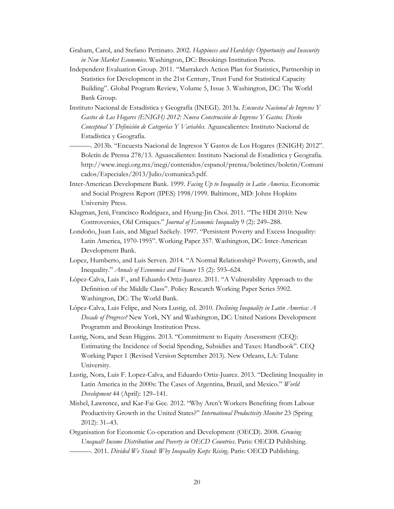- Graham, Carol, and Stefano Pettinato. 2002. *Happiness and Hardship: Opportunity and Insecurity in New Market Economies*. Washington, DC: Brookings Institution Press.
- Independent Evaluation Group. 2011. "Marrakech Action Plan for Statistics, Partnership in Statistics for Development in the 21st Century, Trust Fund for Statistical Capacity Building". Global Program Review, Volume 5, Issue 3. Washington, DC: The World Bank Group.
- Instituto Nacional de Estadística y Geografía (INEGI). 2013a. *Encuesta Nacional de Ingresos Y Gastos de Los Hogares (ENIGH) 2012: Nueva Construcción de Ingresos Y Gastos. Diseño Conceptual Y Definición de Categorías Y Variables.* Aguascalientes: Instituto Nacional de Estadística y Geografía.
- ———. 2013b. "Encuesta Nacional de Ingresos Y Gastos de Los Hogares (ENIGH) 2012". Boletín de Prensa 278/13. Aguascalientes: Instituto Nacional de Estadística y Geografía. http://www.inegi.org.mx/inegi/contenidos/espanol/prensa/boletines/boletin/Comuni cados/Especiales/2013/Julio/comunica5.pdf.
- Inter-American Development Bank. 1999. *Facing Up to Inequality in Latin America*. Economic and Social Progress Report (IPES) 1998/1999. Baltimore, MD: Johns Hopkins University Press.
- Klugman, Jeni, Francisco Rodríguez, and Hyung-Jin Choi. 2011. "The HDI 2010: New Controversies, Old Critiques." *Journal of Economic Inequality* 9 (2): 249–288.
- Londoño, Juan Luis, and Miguel Székely. 1997. "Persistent Poverty and Excess Inequality: Latin America, 1970-1995". Working Paper 357. Washington, DC: Inter-American Development Bank.
- Lopez, Humberto, and Luis Serven. 2014. "A Normal Relationship? Poverty, Growth, and Inequality." *Annals of Economics and Finance* 15 (2): 593–624.
- López-Calva, Luis F., and Eduardo Ortiz-Juarez. 2011. "A Vulnerability Approach to the Definition of the Middle Class". Policy Research Working Paper Series 5902. Washington, DC: The World Bank.
- López-Calva, Luis Felipe, and Nora Lustig, ed. 2010. *Declining Inequality in Latin America: A Decade of Progress?* New York, NY and Washington, DC: United Nations Development Programm and Brookings Institution Press.
- Lustig, Nora, and Sean Higgins. 2013. "Commitment to Equity Assessment (CEQ): Estimating the Incidence of Social Spending, Subsidies and Taxes: Handbook". CEQ Working Paper 1 (Revised Version September 2013). New Orleans, LA: Tulane University.
- Lustig, Nora, Luis F. Lopez-Calva, and Eduardo Ortiz-Juarez. 2013. "Declining Inequality in Latin America in the 2000s: The Cases of Argentina, Brazil, and Mexico." *World Development* 44 (April): 129–141.
- Mishel, Lawrence, and Kar-Fai Gee. 2012. "Why Aren't Workers Benefiting from Labour Productivity Growth in the United States?" *International Productivity Monitor* 23 (Spring 2012): 31–43.
- Organisation for Economic Co-operation and Development (OECD). 2008. *Growing Unequal? Income Distribution and Poverty in OECD Countries*. Paris: OECD Publishing. ———. 2011. *Divided We Stand: Why Inequality Keeps Rising*. Paris: OECD Publishing.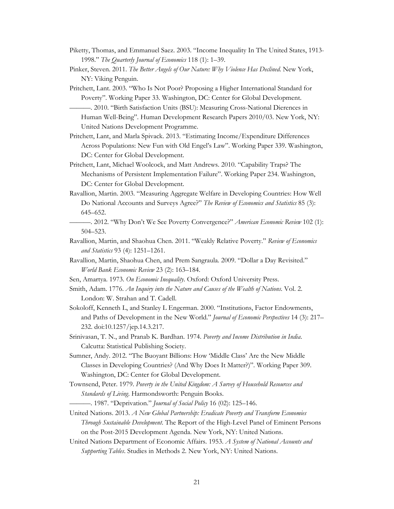- Piketty, Thomas, and Emmanuel Saez. 2003. "Income Inequality In The United States, 1913- 1998." *The Quarterly Journal of Economics* 118 (1): 1–39.
- Pinker, Steven. 2011. *The Better Angels of Our Nature: Why Violence Has Declined*. New York, NY: Viking Penguin.
- Pritchett, Lant. 2003. "Who Is Not Poor? Proposing a Higher International Standard for Poverty". Working Paper 33. Washington, DC: Center for Global Development. ———. 2010. "Birth Satisfaction Units (BSU): Measuring Cross-National Dierences in Human Well-Being". Human Development Research Papers 2010/03. New York, NY:

United Nations Development Programme.

- Pritchett, Lant, and Marla Spivack. 2013. "Estimating Income/Expenditure Differences Across Populations: New Fun with Old Engel's Law". Working Paper 339. Washington, DC: Center for Global Development.
- Pritchett, Lant, Michael Woolcock, and Matt Andrews. 2010. "Capability Traps? The Mechanisms of Persistent Implementation Failure". Working Paper 234. Washington, DC: Center for Global Development.
- Ravallion, Martin. 2003. "Measuring Aggregate Welfare in Developing Countries: How Well Do National Accounts and Surveys Agree?" *The Review of Economics and Statistics* 85 (3): 645–652.
- ———. 2012. "Why Don't We See Poverty Convergence?" *American Economic Review* 102 (1): 504–523.
- Ravallion, Martin, and Shaohua Chen. 2011. "Weakly Relative Poverty." *Review of Economics and Statistics* 93 (4): 1251–1261.
- Ravallion, Martin, Shaohua Chen, and Prem Sangraula. 2009. "Dollar a Day Revisited." *World Bank Economic Review* 23 (2): 163–184.
- Sen, Amartya. 1973. *On Economic Inequality*. Oxford: Oxford University Press.
- Smith, Adam. 1776. *An Inquiry into the Nature and Causes of the Wealth of Nations*. Vol. 2. London: W. Strahan and T. Cadell.
- Sokoloff, Kenneth L, and Stanley L Engerman. 2000. "Institutions, Factor Endowments, and Paths of Development in the New World." *Journal of Economic Perspectives* 14 (3): 217– 232. doi:10.1257/jep.14.3.217.
- Srinivasan, T. N., and Pranab K. Bardhan. 1974. *Poverty and Income Distribution in India*. Calcutta: Statistical Publishing Society.
- Sumner, Andy. 2012. "The Buoyant Billions: How 'Middle Class' Are the New Middle Classes in Developing Countries? (And Why Does It Matter?)". Working Paper 309. Washington, DC: Center for Global Development.
- Townsend, Peter. 1979. *Poverty in the United Kingdom: A Survey of Household Resources and Standards of Living*. Harmondsworth: Penguin Books.
	- ———. 1987. "Deprivation." *Journal of Social Policy* 16 (02): 125–146.
- United Nations. 2013. *A New Global Partnership: Eradicate Poverty and Transform Economies Through Sustainable Development*. The Report of the High-Level Panel of Eminent Persons on the Post-2015 Development Agenda. New York, NY: United Nations.
- United Nations Department of Economic Affairs. 1953. *A System of National Accounts and Supporting Tables*. Studies in Methods 2. New York, NY: United Nations.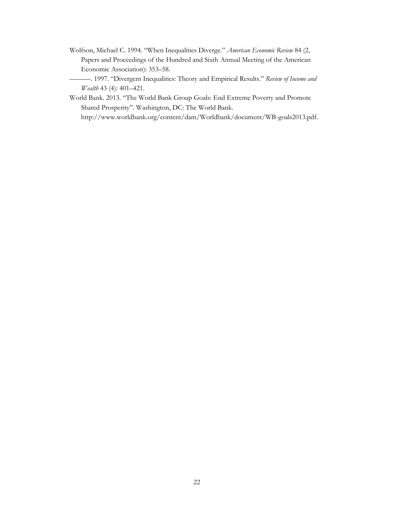- Wolfson, Michael C. 1994. "When Inequalities Diverge." *American Economic Review* 84 (2, Papers and Proceedings of the Hundred and Sixth Annual Meeting of the American Economic Association): 353–58.
- ———. 1997. "Divergent Inequalities: Theory and Empirical Results." *Review of Income and Wealth* 43 (4): 401–421.
- World Bank. 2013. "The World Bank Group Goals: End Extreme Poverty and Promote Shared Prosperity". Washington, DC: The World Bank.

http://www.worldbank.org/content/dam/Worldbank/document/WB-goals2013.pdf.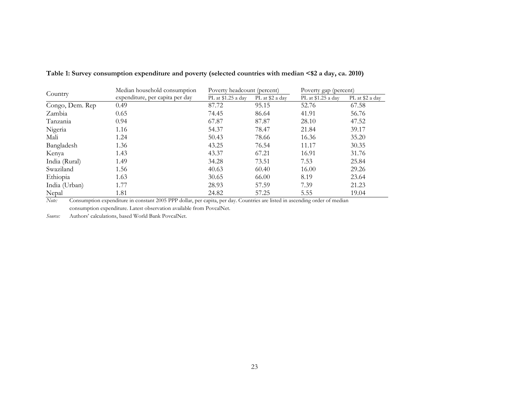| Country         | Median household consumption    | Poverty headcount (percent) |                 | Poverty gap (percent) |                 |  |  |
|-----------------|---------------------------------|-----------------------------|-----------------|-----------------------|-----------------|--|--|
|                 | expenditure, per capita per day | PL at \$1.25 a day          | PL at \$2 a day | PL at \$1.25 a day    | PL at \$2 a day |  |  |
| Congo, Dem. Rep | 0.49                            | 87.72                       | 95.15           | 52.76                 | 67.58           |  |  |
| Zambia          | 0.65                            | 74.45                       | 86.64           | 41.91                 | 56.76           |  |  |
| Tanzania        | 0.94                            | 67.87                       | 87.87           | 28.10                 | 47.52           |  |  |
| Nigeria         | 1.16                            | 54.37                       | 78.47           | 21.84                 | 39.17           |  |  |
| Mali            | 1.24                            | 50.43                       | 78.66           | 16.36                 | 35.20           |  |  |
| Bangladesh      | 1.36                            | 43.25                       | 76.54           | 11.17                 | 30.35           |  |  |
| Kenya           | 1.43                            | 43.37                       | 67.21           | 16.91                 | 31.76           |  |  |
| India (Rural)   | 1.49                            | 34.28                       | 73.51           | 7.53                  | 25.84           |  |  |
| Swaziland       | 1.56                            | 40.63                       | 60.40           | 16.00                 | 29.26           |  |  |
| Ethiopia        | 1.63                            | 30.65                       | 66.00           | 8.19                  | 23.64           |  |  |
| India (Urban)   | 1.77                            | 28.93                       | 57.59           | 7.39                  | 21.23           |  |  |
| Nepal           | 1.81                            | 24.82                       | 57.25           | 5.55                  | 19.04           |  |  |

**Table 1: Survey consumption expenditure and poverty (selected countries with median <\$2 a day, ca. 2010)** 

*Note:* Consumption expenditure in constant 2005 PPP dollar, per capita, per day. Countries are listed in ascending order of median consumption expenditure. Latest observation available from PovcalNet.

*Source:* Authors' calculations, based World Bank PovcalNet.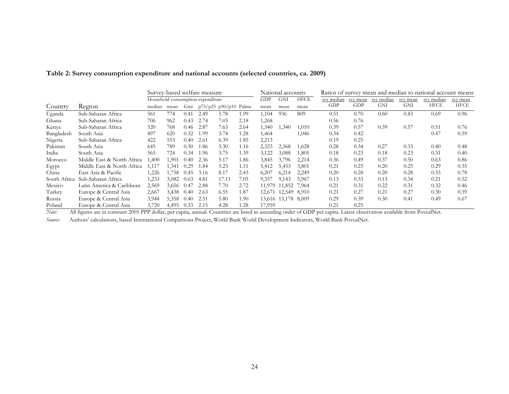|              |                            | Survey-based welfare measure      |        |      |      |                           |      |        | National accounts   |       | Ratios of survey mean and median to national account means |          |            |          |            |             |
|--------------|----------------------------|-----------------------------------|--------|------|------|---------------------------|------|--------|---------------------|-------|------------------------------------------------------------|----------|------------|----------|------------|-------------|
|              |                            | Household consumption expenditure |        |      |      |                           |      |        | <b>GNI</b>          | HFCE  | svy median                                                 | svy mean | svy median | svy mean | svy median | svy mean    |
| Country      | Region                     | median                            | mean   | Gini |      | $p75/p25$ $p90/p10$ Palma |      | mean   | mean                | mean  | GDP                                                        | GDP      | GNI        | GNI      | HFCE       | <b>HFCE</b> |
| Uganda       | Sub-Saharan Africa         | 561                               | 774    | 0.41 | 2.49 | 5.78                      | 1.99 | 1,104  | 936                 | 809   | 0.51                                                       | 0.70     | 0.60       | 0.83     | 0.69       | 0.96        |
| Ghana        | Sub-Saharan Africa         | 706                               | 962    | 0.43 | 2.74 | 7.03                      | 2.18 | 1,268  |                     |       | 0.56                                                       | 0.76     |            |          |            |             |
| Kenva        | Sub-Saharan Africa         | 520                               | 768    | 0.46 | 2.87 | 7.63                      | 2.64 | 1,340  | 1,340               | 1,010 | 0.39                                                       | 0.57     | 0.39       | 0.57     | 0.51       | 0.76        |
| Bangladesh   | South Asia                 | 497                               | 620    | 0.32 | 1.99 | 3.74                      | 1.28 | 1,464  |                     | 1,046 | 0.34                                                       | 0.42     |            |          | 0.47       | 0.59        |
| Nigeria      | Sub-Saharan Africa         | 422                               | 553    | 0.40 | 2.61 | 6.39                      | 1.85 | 2,213  |                     |       | 0.19                                                       | 0.25     |            |          |            |             |
| Pakistan     | South Asia                 | 645                               | 789    | 0.30 | 1.86 | 3.30                      | 1.16 | 2,323  | 2,368               | 1,628 | 0.28                                                       | 0.34     | 0.27       | 0.33     | 0.40       | 0.48        |
| India        | South Asia                 | 565                               | 724    | 0.34 | 1.96 | 3.75                      | 1.39 | 3,122  | 3,088               | 1,805 | 0.18                                                       | 0.23     | 0.18       | 0.23     | 0.31       | 0.40        |
| Morocco      | Middle East & North Africa | 1,400                             | .901   | 0.40 | 2.36 | 5.17                      | 1.86 | 3,845  | 3,796               | 2,214 | 0.36                                                       | 0.49     | 0.37       | 0.50     | 0.63       | 0.86        |
| Egypt        | Middle East & North Africa | 1,117                             | .341   | 0.29 | 1.84 | 3.23                      | 1.11 | 5,412  | 5,453               | 3,801 | 0.21                                                       | 0.25     | 0.20       | 0.25     | 0.29       | 0.35        |
| China        | East Asia & Pacific        | 1,226                             | . .758 | 0.45 | 3.16 | 8.17                      | 2.43 | 6,207  | 6,214               | 2,249 | 0.20                                                       | 0.28     | 0.20       | 0.28     | 0.55       | 0.78        |
| South Africa | Sub-Saharan Africa         | 1,233                             | 3,082  | 0.63 | 4.81 | 17.11                     | 7.05 | 9,357  | 9,143               | 5,967 | 0.13                                                       | 0.33     | 0.13       | 0.34     | 0.21       | 0.52        |
| Mexico       | Latin America & Caribbean  | 2,569                             | 3,656  | 0.47 | 2.88 | 7.70                      | 2.72 | 11,979 | 11,852              | 7,964 | 0.21                                                       | 0.31     | 0.22       | 0.31     | 0.32       | 0.46        |
| Turkey       | Europe & Central Asia      | 2,667                             | 3,438  | 0.40 | 2.63 | 6.55                      | 1.87 |        | 12,671 12,549 8,910 |       | 0.21                                                       | 0.27     | 0.21       | 0.27     | 0.30       | 0.39        |
| Russia       | Europe & Central Asia      | 3,944                             | 5,358  | 0.40 | 2.51 | 5.80                      | 1.90 |        | 13,616 13,178 8,009 |       | 0.29                                                       | 0.39     | 0.30       | 0.41     | 0.49       | 0.67        |
| Poland       | Europe & Central Asia      | 3,720                             | 4,495  | 0.33 | 2.15 | 4.28                      | 1.28 | 17,959 |                     |       | 0.21                                                       | 0.25     |            |          |            |             |

#### **Table 2: Survey consumption expenditure and national accounts (selected countries, ca. 2009)**

*Note:* All figures are in constant 2005 PPP dollar, per capita, annual. Countries are listed in ascending order of GDP per capita. Latest observation available from PovcalNet.

*Source:* Authors' calculations, based International Comparisons Project, World Bank World Development Indicators, World Bank PovcalNet.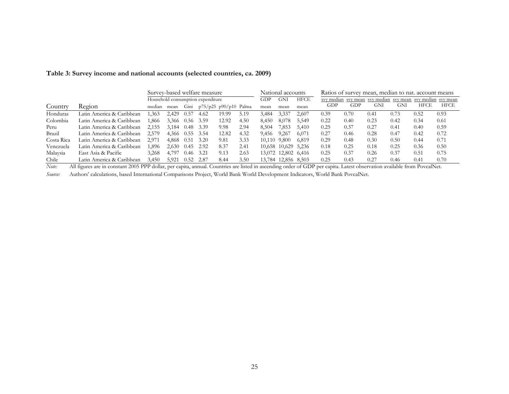| Table 3: Survey income and national accounts (selected countries, ca. 2009) |  |  |  |
|-----------------------------------------------------------------------------|--|--|--|
|                                                                             |  |  |  |

|            |                           | Survey-based welfare measure      |                 |             |                         |       |      | National accounts<br>Ratios of survey mean, median to nat. account means |                     |             |      |      |      |                                     |                     |      |
|------------|---------------------------|-----------------------------------|-----------------|-------------|-------------------------|-------|------|--------------------------------------------------------------------------|---------------------|-------------|------|------|------|-------------------------------------|---------------------|------|
|            |                           | Household consumption expenditure |                 |             |                         |       |      |                                                                          | GNI                 | <b>HFCE</b> |      |      |      | sy median sy mean sy median sy mean | svy median svy mean |      |
| Country    | Region                    | median                            | mean            | Gini        | $p75/p25 p90/p10$ Palma |       |      | mean                                                                     | mean                | mean        | GDP  | GDP  | GNI  | GNI                                 | HFCE                | HFCE |
| Honduras   | Latin America & Caribbean | .363                              | 2.429           | 0.57        | 4.62                    | 19.99 | 5.19 | 3,484                                                                    | 3,337               | 2,607       | 0.39 | 0.70 | 0.41 | 0.73                                | 0.52                | 0.93 |
| Colombia   | Latin America & Caribbean | .866                              | 3,366 0.56 3.59 |             |                         | 12.92 | 4.50 | 8,450                                                                    | 8.078               | 5,549       | 0.22 | 0.40 | 0.23 | 0.42                                | 0.34                | 0.61 |
| Peru       | Latin America & Caribbean | 2,155                             | 3.184           | 0.48        | 3.39                    | 9.98  | 2.94 | 8,504                                                                    | 7,853               | 5,410       | 0.25 | 0.37 | 0.27 | 0.41                                | 0.40                | 0.59 |
| Brazil     | Latin America & Caribbean | 2,579                             | 4.366           | $0.55$ 3.54 |                         | 12.82 | 4.32 | 9,456                                                                    | 9,267               | 6,071       | 0.27 | 0.46 | 0.28 | 0.47                                | 0.42                | 0.72 |
| Costa Rica | Latin America & Caribbean | 2.971                             | 4.868           | 0.51        | 3.20                    | 9.81  | 3.33 | 10.110 9.800                                                             |                     | 6.819       | 0.29 | 0.48 | 0.30 | 0.50                                | 0.44                | 0.71 |
| Venezuela  | Latin America & Caribbean | .896                              | 2.630           | 0.45        | 2.92                    | 8.37  | 2.41 |                                                                          | 10,658 10,629 5,236 |             | 0.18 | 0.25 | 0.18 | 0.25                                | 0.36                | 0.50 |
| Malaysia   | East Asia & Pacific       | 3.268                             | 4.797           | 0.46        | 3.21                    | 9.13  | 2.63 |                                                                          | 13,072 12,802 6,416 |             | 0.25 | 0.37 | 0.26 | 0.37                                | 0.51                | 0.75 |
| Chile      | Latin America & Caribbean | 3,450                             | 5.921           | 0.52        | 2.87                    | 8.44  | 3.50 |                                                                          | 13,784 12,856 8,503 |             | 0.25 | 0.43 | 0.27 | 0.46                                | 0.41                | 0.70 |

*Note:* All figures are in constant 2005 PPP dollar, per capita, annual. Countries are listed in ascending order of GDP per capita. Latest observation available from PovcalNet.

*Source:* Authors' calculations, based International Comparisons Project, World Bank World Development Indicators, World Bank PovcalNet.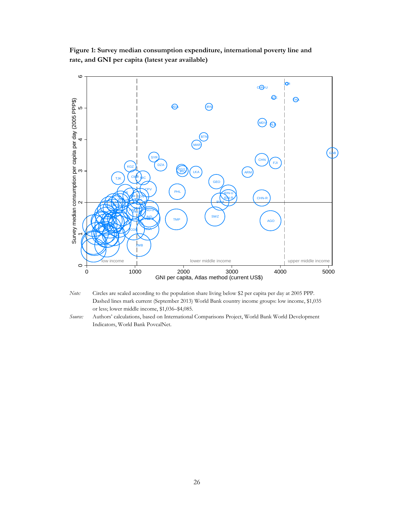**Figure 1: Survey median consumption expenditure, international poverty line and rate, and GNI per capita (latest year available)** 





*Source:* Authors' calculations, based on International Comparisons Project, World Bank World Development Indicators, World Bank PovcalNet.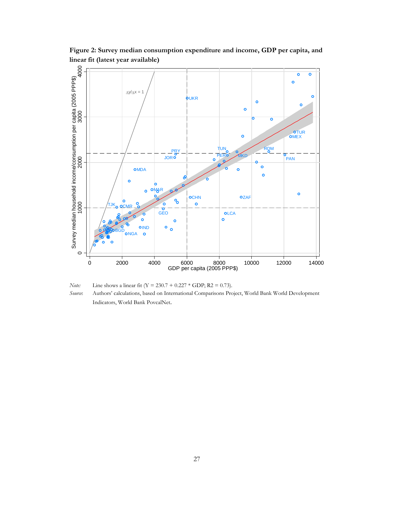

**Figure 2: Survey median consumption expenditure and income, GDP per capita, and linear fit (latest year available)**

*Note:* Line shows a linear fit (Y = 230.7 + 0.227 \* GDP; R2 = 0.73). *Source*: Authors' calculations, based on International Comparisons Project, World Bank World Development Indicators, World Bank PovcalNet.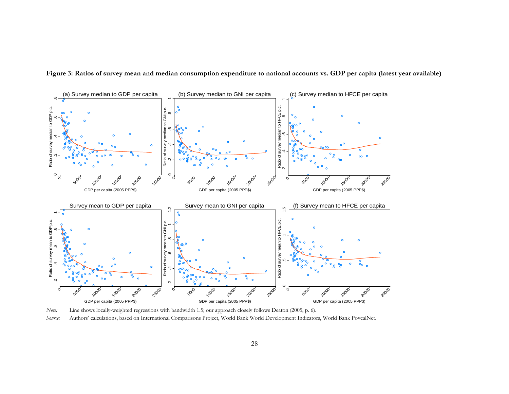

**Figure 3: Ratios of survey mean and median consumption expenditure to national accounts vs. GDP per capita (latest year available)** 

*Note:* Line shows locally-weighted regressions with bandwidth 1.5; our approach closely follows Deaton (2005, p. 6). *Source:* Authors' calculations, based on International Comparisons Project, World Bank World Development Indicators, World Bank PovcalNet.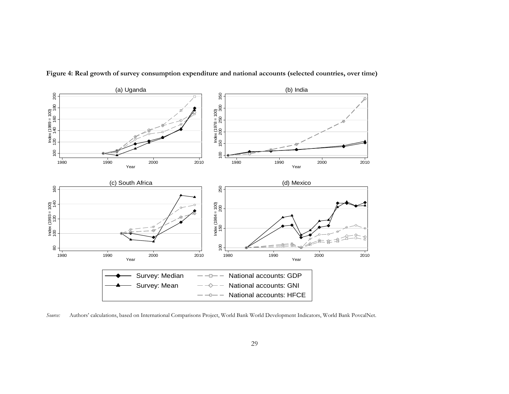

**Figure 4: Real growth of survey consumption expenditure and national accounts (selected countries, over time)** 

*Source:* Authors' calculations, based on International Comparisons Project, World Bank World Development Indicators, World Bank PovcalNet.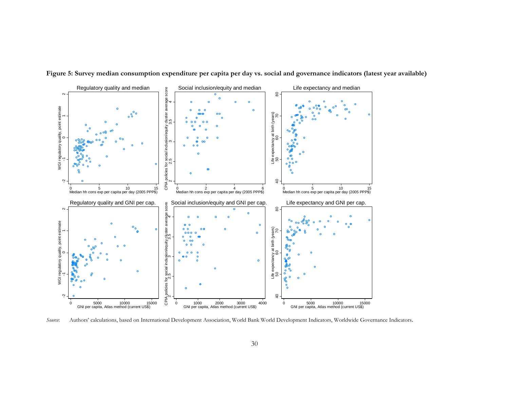

**Figure 5: Survey median consumption expenditure per capita per day vs. social and governance indicators (latest year available)**

*Source*: Authors' calculations, based on International Development Association, World Bank World Development Indicators, Worldwide Governance Indicators.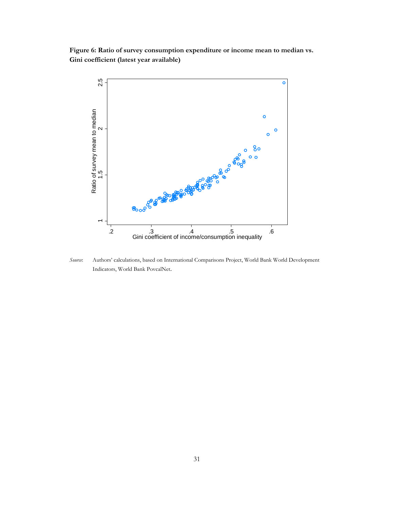**Figure 6: Ratio of survey consumption expenditure or income mean to median vs. Gini coefficient (latest year available)** 



*Source*: Authors' calculations, based on International Comparisons Project, World Bank World Development Indicators, World Bank PovcalNet.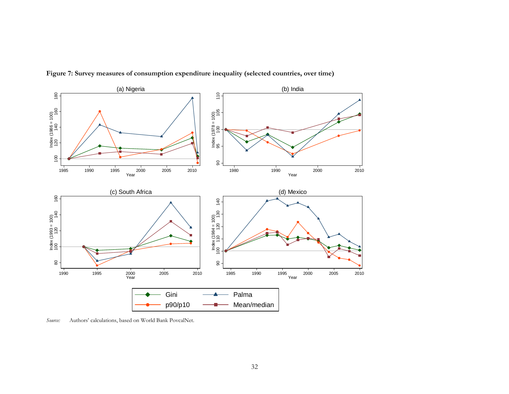

**Figure 7: Survey measures of consumption expenditure inequality (selected countries, over time)** 

*Source:* Authors' calculations, based on World Bank PovcalNet.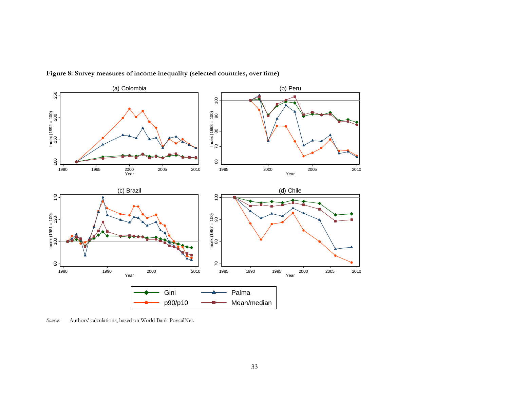

**Figure 8: Survey measures of income inequality (selected countries, over time)** 

*Source:* Authors' calculations, based on World Bank PovcalNet.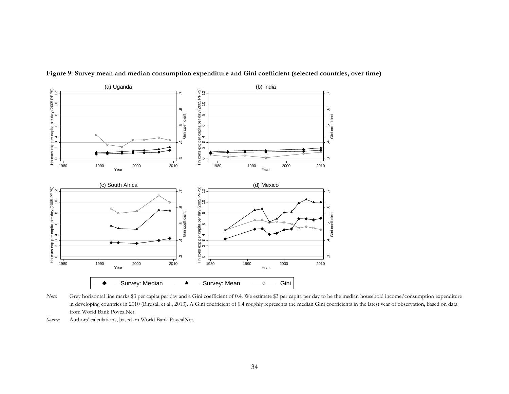

**Figure 9: Survey mean and median consumption expenditure and Gini coefficient (selected countries, over time)** 

*Note*: Grey horizontal line marks \$3 per capita per day and a Gini coefficient of 0.4. We estimate \$3 per capita per day to be the median household income/consumption expenditure in developing countries in 2010 (Birdsall et al., 2013). A Gini coefficient of 0.4 roughly represents the median Gini coefficients in the latest year of observation, based on data from World Bank PovcalNet.

*Source*: Authors' calculations, based on World Bank PovcalNet.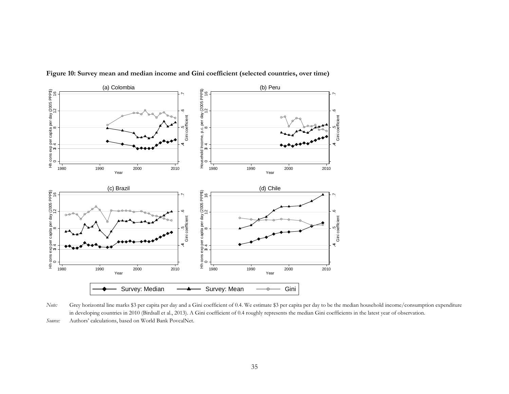

**Figure 10: Survey mean and median income and Gini coefficient (selected countries, over time)** 

*Note:* Grey horizontal line marks \$3 per capita per day and a Gini coefficient of 0.4. We estimate \$3 per capita per day to be the median household income/consumption expenditure in developing countries in 2010 (Birdsall et al., 2013). A Gini coefficient of 0.4 roughly represents the median Gini coefficients in the latest year of observation.

*Source:* Authors' calculations, based on World Bank PovcalNet.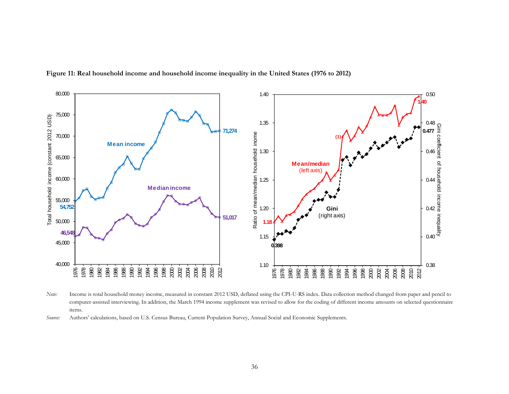

**Figure 11: Real household income and household income inequality in the United States (1976 to 2012)** 

*Note:* Income is total household money income, measured in constant 2012 USD, deflated using the CPI-U-RS index. Data collection method changed from paper and pencil to computer-assisted interviewing. In addition, the March 1994 income supplement was revised to allow for the coding of different income amounts on selected questionnaire items.

*Source:* Authors' calculations, based on U.S. Census Bureau, Current Population Survey, Annual Social and Economic Supplements.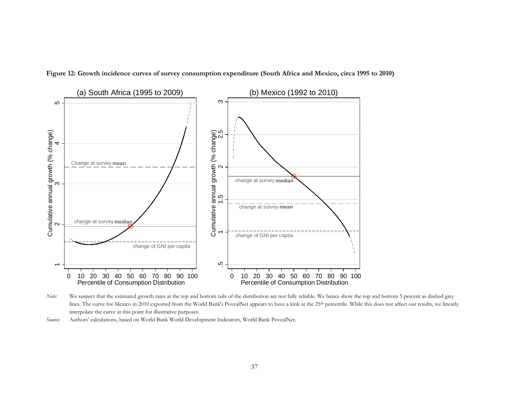

**Figure 12: Growth incidence curves of survey consumption expenditure (South Africa and Mexico, circa 1995 to 2010)** 

*Note:* We suspect that the estimated growth rates at the top and bottom tails of the distribution are not fully reliable. We hence show the top and bottom 5 percent as dashed grey lines. The curve for Mexico in 2010 exported from the World Bank's PovcalNet appears to have a kink at the 25th percentile. While this does not affect our results, we linearly interpolate the curve at this point for illustrative purposes.

*Source:* Authors' calculations, based on World Bank World Development Indicators, World Bank PovcalNet.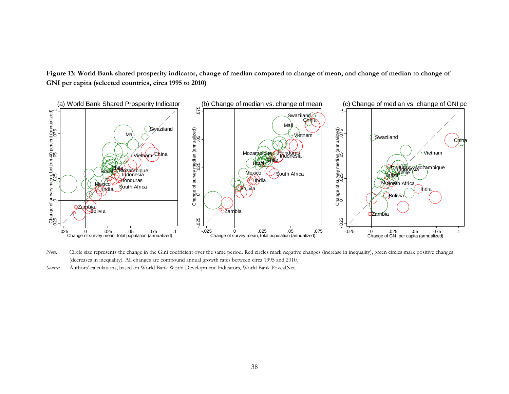Figure 13: World Bank shared prosperity indicator, change of median compared to change of mean, and change of median to change of **GNI per capita (selected countries, circa 1995 to 2010)** 



*Note:* Circle size represents the change in the Gini coefficient over the same period. Red circles mark negative changes (increase in inequality), green circles mark positive changes (decreases in inequality). All changes are compound annual growth rates between circa 1995 and 2010.

*Source:* Authors' calculations, based on World Bank World Development Indicators, World Bank PovcalNet.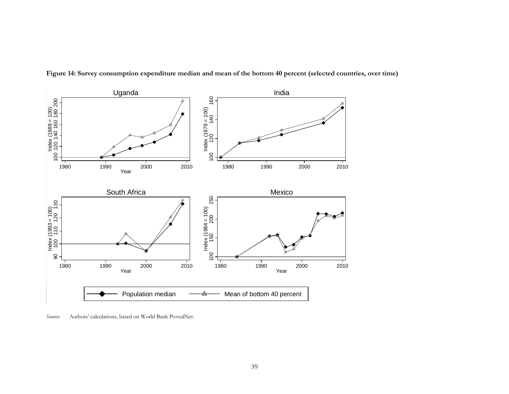

**Figure 14: Survey consumption expenditure median and mean of the bottom 40 percent (selected countries, over time)** 

*Source:* Authors' calculations, based on World Bank PovcalNet.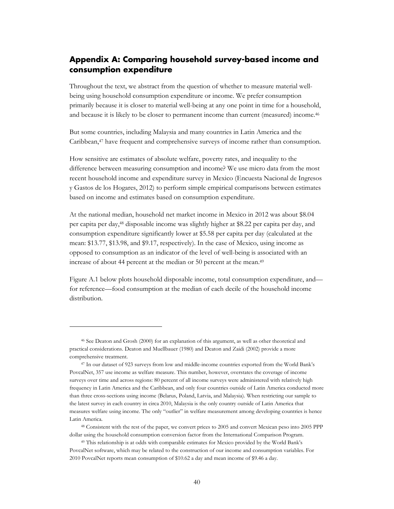# **Appendix A: Comparing household survey-based income and consumption expenditure**

Throughout the text, we abstract from the question of whether to measure material wellbeing using household consumption expenditure or income. We prefer consumption primarily because it is closer to material well-being at any one point in time for a household, and because it is likely to be closer to permanent income than current (measured) income.46

But some countries, including Malaysia and many countries in Latin America and the Caribbean,47 have frequent and comprehensive surveys of income rather than consumption.

How sensitive are estimates of absolute welfare, poverty rates, and inequality to the difference between measuring consumption and income? We use micro data from the most recent household income and expenditure survey in Mexico (Encuesta Nacional de Ingresos y Gastos de los Hogares, 2012) to perform simple empirical comparisons between estimates based on income and estimates based on consumption expenditure.

At the national median, household net market income in Mexico in 2012 was about \$8.04 per capita per day,48 disposable income was slightly higher at \$8.22 per capita per day, and consumption expenditure significantly lower at \$5.58 per capita per day (calculated at the mean: \$13.77, \$13.98, and \$9.17, respectively). In the case of Mexico, using income as opposed to consumption as an indicator of the level of well-being is associated with an increase of about 44 percent at the median or 50 percent at the mean.<sup>49</sup>

Figure A.1 below plots household disposable income, total consumption expenditure, and for reference—food consumption at the median of each decile of the household income distribution.

<u>.</u>

<sup>46</sup> See Deaton and Grosh (2000) for an explanation of this argument, as well as other theoretical and practical considerations. Deaton and Muellbauer (1980) and Deaton and Zaidi (2002) provide a more comprehensive treatment.

<sup>47</sup> In our dataset of 923 surveys from low and middle-income countries exported from the World Bank's PovcalNet, 357 use income as welfare measure. This number, however, overstates the coverage of income surveys over time and across regions: 80 percent of all income surveys were administered with relatively high frequency in Latin America and the Caribbean, and only four countries outside of Latin America conducted more than three cross-sections using income (Belarus, Poland, Latvia, and Malaysia). When restricting our sample to the latest survey in each country in circa 2010, Malaysia is the only country outside of Latin America that measures welfare using income. The only "outlier" in welfare measurement among developing countries is hence Latin America.

<sup>48</sup> Consistent with the rest of the paper, we convert prices to 2005 and convert Mexican peso into 2005 PPP dollar using the household consumption conversion factor from the International Comparison Program.

<sup>49</sup> This relationship is at odds with comparable estimates for Mexico provided by the World Bank's PovcalNet software, which may be related to the construction of our income and consumption variables. For 2010 PovcalNet reports mean consumption of \$10.62 a day and mean income of \$9.46 a day.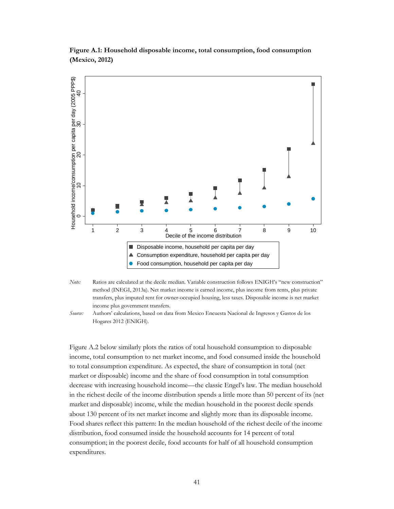

**Figure A.1: Household disposable income, total consumption, food consumption (Mexico, 2012)** 

*Note:* Ratios are calculated at the decile median. Variable construction follows ENIGH's "new construction" method (INEGI, 2013a). Net market income is earned income, plus income from rents, plus private transfers, plus imputed rent for owner-occupied housing, less taxes. Disposable income is net market income plus government transfers.

*Source:* Authors' calculations, based on data from Mexico Encuesta Nacional de Ingresos y Gastos de los Hogares 2012 (ENIGH).

Figure A.2 below similarly plots the ratios of total household consumption to disposable income, total consumption to net market income, and food consumed inside the household to total consumption expenditure. As expected, the share of consumption in total (net market or disposable) income and the share of food consumption in total consumption decrease with increasing household income—the classic Engel's law. The median household in the richest decile of the income distribution spends a little more than 50 percent of its (net market and disposable) income, while the median household in the poorest decile spends about 130 percent of its net market income and slightly more than its disposable income. Food shares reflect this pattern: In the median household of the richest decile of the income distribution, food consumed inside the household accounts for 14 percent of total consumption; in the poorest decile, food accounts for half of all household consumption expenditures.